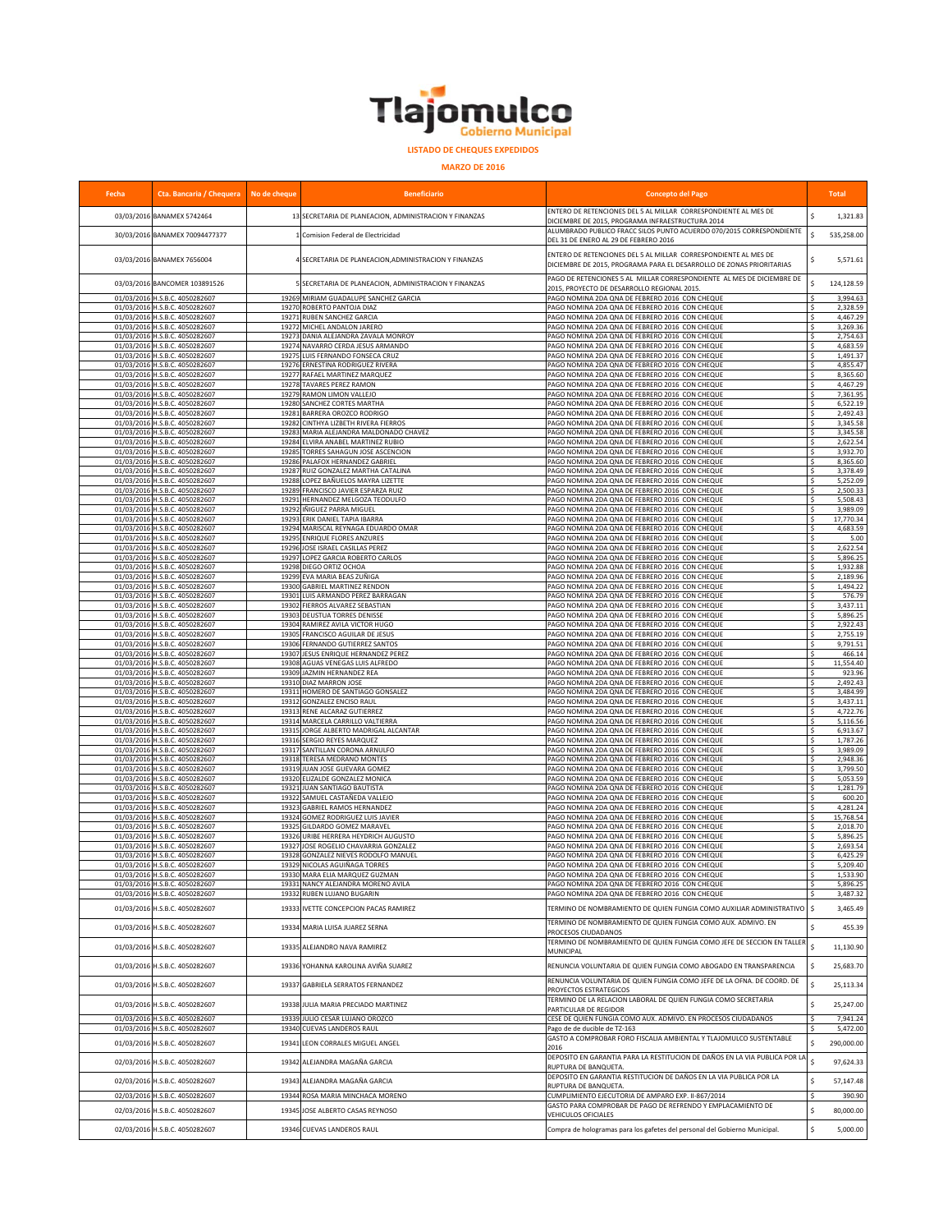

**MARZO DE 2016**

| Fecha | Cta. Bancaria / Chequera No de cheque                            |                | <b>Beneficiario</b>                                                  | <b>Concepto del Pago</b>                                                                                                                |                    | <b>Total</b>         |
|-------|------------------------------------------------------------------|----------------|----------------------------------------------------------------------|-----------------------------------------------------------------------------------------------------------------------------------------|--------------------|----------------------|
|       | 03/03/2016 BANAMEX 5742464                                       |                | 13 SECRETARIA DE PLANEACION, ADMINISTRACION Y FINANZAS               | ENTERO DE RETENCIONES DEL 5 AL MILLAR CORRESPONDIENTE AL MES DE                                                                         | Š.                 | 1,321.83             |
|       | 30/03/2016 BANAMEX 70094477377                                   |                | 1 Comision Federal de Electricidad                                   | DICIEMBRE DE 2015, PROGRAMA INFRAESTRUCTURA 2014<br>ALUMBRADO PUBLICO FRACC SILOS PUNTO ACUERDO 070/2015 CORRESPONDIENTE                | Ś                  | 535,258.00           |
|       |                                                                  |                |                                                                      | DEL 31 DE ENERO AL 29 DE FEBRERO 2016                                                                                                   |                    |                      |
|       | 03/03/2016 BANAMEX 7656004                                       |                | 4 SECRETARIA DE PLANEACION, ADMINISTRACION Y FINANZAS                | ENTERO DE RETENCIONES DEL 5 AL MILLAR CORRESPONDIENTE AL MES DE<br>DICIEMBRE DE 2015, PROGRAMA PARA EL DESARROLLO DE ZONAS PRIORITARIAS |                    | 5,571.61             |
|       | 03/03/2016 BANCOMER 103891526                                    |                | 5 SECRETARIA DE PLANEACION, ADMINISTRACION Y FINANZAS                | PAGO DE RETENCIONES 5 AL MILLAR CORRESPONDIENTE AL MES DE DICIEMBRE DE                                                                  |                    | 124.128.59           |
|       | 01/03/2016 H.S.B.C. 4050282607                                   | 19269          | MIRIAM GUADALUPE SANCHEZ GARCIA                                      | 2015, PROYECTO DE DESARROLLO REGIONAL 2015.<br>AGO NOMINA 2DA QNA DE FEBRERO 2016 CON CHEQUE                                            | Ŝ.                 | 3,994.63             |
|       | 01/03/2016 H.S.B.C. 4050282607                                   | 19270          | ROBERTO PANTOJA DIAZ                                                 | AGO NOMINA 2DA QNA DE FEBRERO 2016 CON CHEQUE                                                                                           | \$                 | 2,328.59             |
|       | 01/03/2016 H.S.B.C. 4050282607<br>01/03/2016 H.S.B.C. 4050282607 | 19271<br>19272 | RUBEN SANCHEZ GARCIA<br>MICHEL ANDALON JARERO                        | PAGO NOMINA 2DA QNA DE FEBRERO 2016 CON CHEQUE<br>PAGO NOMINA 2DA QNA DE FEBRERO 2016 CON CHEQUE                                        | \$.<br>\$          | 4,467.29<br>3,269.36 |
|       | 01/03/2016 H.S.B.C. 4050282607                                   |                | 19273 DANIA ALEJANDRA ZAVALA MONROY                                  | PAGO NOMINA 2DA QNA DE FEBRERO 2016 CON CHEQUE                                                                                          | \$                 | 2,754.63             |
|       | 01/03/2016 H.S.B.C. 4050282607<br>01/03/2016 H.S.B.C. 4050282607 | 19274<br>19275 | NAVARRO CERDA JESUS ARMANDO<br>LUIS FERNANDO FONSECA CRUZ            | PAGO NOMINA 2DA QNA DE FEBRERO 2016 CON CHEQUE<br>PAGO NOMINA 2DA QNA DE FEBRERO 2016 CON CHEQUE                                        | Ŝ.<br>Ś.           | 4,683.59<br>1,491.37 |
|       | 01/03/2016 H.S.B.C. 4050282607                                   | 19276          | <b>ERNESTINA RODRIGUEZ RIVERA</b>                                    | PAGO NOMINA 2DA QNA DE FEBRERO 2016 CON CHEQUE                                                                                          | \$                 | 4,855.47             |
|       | 01/03/2016 H.S.B.C. 4050282607<br>01/03/2016 H.S.B.C. 4050282607 | 19278          | 19277 RAFAEL MARTINEZ MARQUEZ<br>TAVARES PEREZ RAMON                 | AGO NOMINA 2DA QNA DE FEBRERO 2016 CON CHEQUE<br>AGO NOMINA 2DA QNA DE FEBRERO 2016 CON CHEQUE                                          | \$<br>Ś            | 8,365.60<br>4,467.29 |
|       | 01/03/2016 H.S.B.C. 4050282607                                   | 19279          | RAMON LIMON VALLEJO                                                  | PAGO NOMINA 2DA QNA DE FEBRERO 2016 CON CHEQUE                                                                                          | \$                 | 7,361.95             |
|       | 01/03/2016 H.S.B.C. 4050282607<br>01/03/2016 H.S.B.C. 4050282607 | 19281          | 19280 SANCHEZ CORTES MARTHA<br><b>BARRERA OROZCO RODRIGO</b>         | PAGO NOMINA 2DA QNA DE FEBRERO 2016 CON CHEQUE<br>PAGO NOMINA 2DA QNA DE FEBRERO 2016 CON CHEQUE                                        | \$<br>-Ś           | 6,522.19<br>2,492.43 |
|       | 01/03/2016 H.S.B.C. 4050282607                                   | 19282          | CINTHYA LIZBETH RIVERA FIERROS                                       | PAGO NOMINA 2DA QNA DE FEBRERO 2016 CON CHEQUE                                                                                          |                    | 3,345.58             |
|       | 01/03/2016 H.S.B.C. 4050282607                                   | 19283          | MARIA ALEJANDRA MALDONADO CHAVEZ                                     | PAGO NOMINA 2DA QNA DE FEBRERO 2016 CON CHEQUE                                                                                          |                    | 3,345.58             |
|       | 01/03/2016 H.S.B.C. 4050282607<br>01/03/2016 H.S.B.C. 4050282607 | 19284<br>19285 | ELVIRA ANABEL MARTINEZ RUBIO<br>TORRES SAHAGUN JOSE ASCENCION        | AGO NOMINA 2DA QNA DE FEBRERO 2016 CON CHEQUE<br>PAGO NOMINA 2DA QNA DE FEBRERO 2016 CON CHEQUE                                         |                    | 2,622.54<br>3,932.70 |
|       | 01/03/2016 H.S.B.C. 4050282607                                   | 19286          | PALAFOX HERNANDEZ GABRIEL                                            | PAGO NOMINA 2DA QNA DE FEBRERO 2016 CON CHEQUE                                                                                          |                    | 8,365.60             |
|       | 01/03/2016 H.S.B.C. 4050282607<br>01/03/2016 H.S.B.C. 4050282607 | 19287<br>19288 | RUIZ GONZALEZ MARTHA CATALINA<br>LOPEZ BAÑUELOS MAYRA LIZETTE        | PAGO NOMINA 2DA QNA DE FEBRERO 2016 CON CHEQUE<br>PAGO NOMINA 2DA QNA DE FEBRERO 2016 CON CHEQUE                                        | -S<br>\$.          | 3,378.49<br>5,252.09 |
|       | 01/03/2016 H.S.B.C. 4050282607                                   | 19289          | FRANCISCO JAVIER ESPARZA RUIZ                                        | PAGO NOMINA 2DA QNA DE FEBRERO 2016 CON CHEQUE                                                                                          | \$                 | 2,500.33             |
|       | 01/03/2016 H.S.B.C. 4050282607<br>01/03/2016 H.S.B.C. 4050282607 | 19292          | 19291 HERNANDEZ MELGOZA TEODULFO<br>IÑIGUEZ PARRA MIGUEL             | PAGO NOMINA 2DA QNA DE FEBRERO 2016 CON CHEQUE<br>PAGO NOMINA 2DA QNA DE FEBRERO 2016 CON CHEQUE                                        | -S<br>Ŝ.           | 5,508.43<br>3,989.09 |
|       | 01/03/2016 H.S.B.C. 4050282607                                   | 19293          | ERIK DANIEL TAPIA IBARRA                                             | PAGO NOMINA 2DA QNA DE FEBRERO 2016 CON CHEQUE                                                                                          | Ŝ.                 | 17,770.34            |
|       | 01/03/2016 H.S.B.C. 4050282607<br>01/03/2016 H.S.B.C. 4050282607 | 1929           | 19294 MARISCAL REYNAGA EDUARDO OMAR<br><b>ENRIQUE FLORES ANZURES</b> | PAGO NOMINA 2DA QNA DE FEBRERO 2016 CON CHEQUE<br>AGO NOMINA 2DA QNA DE FEBRERO 2016 CON CHEQUE                                         | \$<br>\$           | 4,683.59<br>5.00     |
|       | 01/03/2016 H.S.B.C. 4050282607                                   | 19296          | JOSE ISRAEL CASILLAS PEREZ                                           | AGO NOMINA 2DA QNA DE FEBRERO 2016 CON CHEQUE                                                                                           | $\mathsf{s}$       | 2,622.54             |
|       | 01/03/2016 H.S.B.C. 4050282607                                   | 19297          | LOPEZ GARCIA ROBERTO CARLOS                                          | AGO NOMINA 2DA QNA DE FEBRERO 2016 CON CHEQUE                                                                                           | Š.                 | 5,896.25             |
|       | 01/03/2016 H.S.B.C. 4050282607<br>01/03/2016 H.S.B.C. 4050282607 | 19298<br>19299 | DIEGO ORTIZ OCHOA<br>EVA MARIA BEAS ZUÑIGA                           | PAGO NOMINA 2DA QNA DE FEBRERO 2016 CON CHEQUE<br>PAGO NOMINA 2DA QNA DE FEBRERO 2016 CON CHEQUE                                        | <b>S</b><br>-S     | 1,932.88<br>2,189.96 |
|       | 01/03/2016 H.S.B.C. 4050282607                                   | 19300          | <b>GABRIEL MARTINEZ RENDON</b>                                       | PAGO NOMINA 2DA QNA DE FEBRERO 2016 CON CHEQUE                                                                                          |                    | 1,494.22             |
|       | 01/03/2016 H.S.B.C. 4050282607<br>01/03/2016 H.S.B.C. 4050282607 | 1930<br>19302  | LUIS ARMANDO PEREZ BARRAGAN<br>FIERROS ALVAREZ SEBASTIAN             | AGO NOMINA 2DA QNA DE FEBRERO 2016 CON CHEQUE<br>AGO NOMINA 2DA QNA DE FEBRERO 2016 CON CHEQUE                                          | Ś                  | 576.79<br>3,437.11   |
|       | 01/03/2016 H.S.B.C. 4050282607                                   | 19303          | DEUSTUA TORRES DENISSE                                               | AGO NOMINA 2DA QNA DE FEBRERO 2016 CON CHEQUE                                                                                           | -S                 | 5,896.25             |
|       | 01/03/2016 H.S.B.C. 4050282607<br>01/03/2016 H.S.B.C. 4050282607 | 19304<br>19305 | RAMIREZ AVILA VICTOR HUGO<br>FRANCISCO AGUILAR DE JESUS              | PAGO NOMINA 2DA QNA DE FEBRERO 2016 CON CHEQUE<br>PAGO NOMINA 2DA QNA DE FEBRERO 2016 CON CHEQUE                                        | \$<br>\$.          | 2,922.43<br>2,755.19 |
|       | 01/03/2016 H.S.B.C. 4050282607                                   | 19306          | FERNANDO GUTIERREZ SANTOS                                            | PAGO NOMINA 2DA QNA DE FEBRERO 2016 CON CHEQUE                                                                                          | \$                 | 9,791.51             |
|       | 01/03/2016 H.S.B.C. 4050282607<br>01/03/2016 H.S.B.C. 4050282607 | 19308          | 19307 JESUS ENRIQUE HERNANDEZ PEREZ<br>AGUAS VENEGAS LUIS ALFREDO    | PAGO NOMINA 2DA QNA DE FEBRERO 2016 CON CHEQUE<br>PAGO NOMINA 2DA QNA DE FEBRERO 2016 CON CHEQUE                                        | -S<br>Ŝ.           | 466.14<br>11,554.40  |
|       | 01/03/2016 H.S.B.C. 4050282607                                   |                | 19309 JAZMIN HERNANDEZ REA                                           | PAGO NOMINA 2DA QNA DE FEBRERO 2016 CON CHEQUE                                                                                          | Ŝ.                 | 923.96               |
|       | 01/03/2016 H.S.B.C. 4050282607<br>01/03/2016 H.S.B.C. 4050282607 |                | 19310 DIAZ MARRON JOSE<br>19311 HOMERO DE SANTIAGO GONSALEZ          | AGO NOMINA 2DA QNA DE FEBRERO 2016 CON CHEQUE<br>PAGO NOMINA 2DA QNA DE FEBRERO 2016 CON CHEQUE                                         | $\mathsf{s}$<br>\$ | 2,492.43<br>3,484.99 |
|       | 01/03/2016 H.S.B.C. 4050282607                                   | 19312          | <b>GONZALEZ ENCISO RAUI</b>                                          | AGO NOMINA 2DA QNA DE FEBRERO 2016 CON CHEQUE                                                                                           | $\mathsf{s}$       | 3,437.11             |
|       | 01/03/2016 H.S.B.C. 4050282607<br>01/03/2016 H.S.B.C. 4050282607 | 19313<br>19314 | RENE ALCARAZ GUTIERREZ<br>MARCELA CARRILLO VALTIERRA                 | AGO NOMINA 2DA QNA DE FEBRERO 2016 CON CHEQUE<br>PAGO NOMINA 2DA QNA DE FEBRERO 2016 CON CHEQUE                                         | \$<br>\$           | 4,722.76<br>5,116.56 |
|       | 01/03/2016 H.S.B.C. 4050282607                                   | 19315          | JORGE ALBERTO MADRIGAL ALCANTAR                                      | PAGO NOMINA 2DA QNA DE FEBRERO 2016 CON CHEQUE                                                                                          | \$                 | 6,913.67             |
|       | 01/03/2016 H.S.B.C. 4050282607<br>01/03/2016 H.S.B.C. 4050282607 | 19316<br>19317 | <b>SERGIO REYES MARQUEZ</b><br>SANTILLAN CORONA ARNULFO              | PAGO NOMINA 2DA QNA DE FEBRERO 2016 CON CHEQUE<br>PAGO NOMINA 2DA QNA DE FEBRERO 2016 CON CHEQUE                                        | \$.<br>\$          | 1,787.26<br>3,989.09 |
|       | 01/03/2016 H.S.B.C. 4050282607                                   | 19318          | TERESA MEDRANO MONTES                                                | PAGO NOMINA 2DA QNA DE FEBRERO 2016 CON CHEQUE                                                                                          |                    | 2,948.36             |
|       | 01/03/2016 H.S.B.C. 4050282607<br>01/03/2016 H.S.B.C. 4050282607 | 19319<br>19320 | JUAN JOSE GUEVARA GOMEZ<br>ELIZALDE GONZALEZ MONICA                  | AGO NOMINA 2DA QNA DE FEBRERO 2016 CON CHEQUE<br>PAGO NOMINA 2DA QNA DE FEBRERO 2016 CON CHEQUE                                         | \$<br>-S           | 3,799.50<br>5,053.59 |
|       | 01/03/2016 H.S.B.C. 4050282607                                   | 19321          | JUAN SANTIAGO BAUTISTA                                               | PAGO NOMINA 2DA QNA DE FEBRERO 2016 CON CHEQUE                                                                                          | \$                 | 1,281.79             |
|       | 01/03/2016 H.S.B.C. 4050282607<br>01/03/2016 H.S.B.C. 4050282607 | 19322<br>19323 | SAMUEL CASTAÑEDA VALLEJO<br>GABRIEL RAMOS HERNANDEZ                  | PAGO NOMINA 2DA QNA DE FEBRERO 2016 CON CHEQUE<br>PAGO NOMINA 2DA QNA DE FEBRERO 2016 CON CHEQUE                                        | \$.<br>\$          | 600.20<br>4,281.24   |
|       | 01/03/2016 H.S.B.C. 4050282607                                   |                | 19324 GOMEZ RODRIGUEZ LUIS JAVIER                                    | PAGO NOMINA 2DA QNA DE FEBRERO 2016 CON CHEQUE                                                                                          | -S                 | 15,768.54            |
|       | 01/03/2016 H.S.B.C. 4050282607<br>01/03/2016 H.S.B.C. 4050282607 | 19325<br>19326 | GILDARDO GOMEZ MARAVEL<br>URIBE HERRERA HEYDRICH AUGUSTO             | PAGO NOMINA 2DA QNA DE FEBRERO 2016 CON CHEQUE<br>PAGO NOMINA 2DA QNA DE FEBRERO 2016 CON CHEQUE                                        | Ś<br>Ś             | 2,018.70<br>5,896.25 |
|       | 01/03/2016 H.S.B.C. 4050282607                                   | 19327          | JOSE ROGELIO CHAVARRIA GONZALEZ                                      | PAGO NOMINA 2DA QNA DE FEBRERO 2016 CON CHEQUE                                                                                          | \$                 | 2,693.54             |
|       | 01/03/2016 H.S.B.C. 4050282607<br>01/03/2016 H.S.B.C. 4050282607 | 19328<br>19329 | GONZALEZ NIEVES RODOLFO MANUEL<br>NICOLAS AGUIÑAGA TORRES            | AGO NOMINA 2DA QNA DE FEBRERO 2016 CON CHEQUE<br>AGO NOMINA 2DA QNA DE FEBRERO 2016 CON CHEQUE                                          | \$<br>Ś            | 6,425.29<br>5,209.40 |
|       | 01/03/2016 H.S.B.C. 4050282607                                   |                | 19330 MARA ELIA MARQUEZ GUZMAN                                       | PAGO NOMINA 2DA QNA DE FEBRERO 2016 CON CHEQUE                                                                                          | \$                 | 1,533.90             |
|       | 01/03/2016 H.S.B.C. 405028260<br>01/03/2016 H.S.B.C. 4050282607  | 10331          | NANCY ALEJANDRA MORENO AVI<br>19332 RUBEN LUJANO BUGARIN             | AGO NOMINA 2DA ONA DE EERRERO 2016<br>PAGO NOMINA 2DA QNA DE FEBRERO 2016 CON CHEQUE                                                    | -S                 | 5,896.25<br>3,487.32 |
|       | 01/03/2016 H.S.B.C. 4050282607                                   |                | 19333 IVETTE CONCEPCION PACAS RAMIREZ                                | TERMINO DE NOMBRAMIENTO DE QUIEN FUNGIA COMO AUXILIAR ADMINISTRATIVO                                                                    | \$                 | 3,465.49             |
|       | 01/03/2016 H.S.B.C. 4050282607                                   | 19334          | MARIA LUISA JUAREZ SERNA                                             | TERMINO DE NOMBRAMIENTO DE QUIEN FUNGIA COMO AUX. ADMIVO. EN                                                                            | Ś                  | 455.39               |
|       | 01/03/2016 H.S.B.C. 4050282607                                   | 19335          | ALEJANDRO NAVA RAMIREZ                                               | PROCESOS CIUDADANOS<br>TERMINO DE NOMBRAMIENTO DE QUIEN FUNGIA COMO JEFE DE SECCION EN TALLEI                                           | Ś                  | 11,130.90            |
|       | 01/03/2016 H.S.B.C. 4050282607                                   | 19336          | YOHANNA KAROLINA AVIÑA SUAREZ                                        | MUNICIPAL<br>RENUNCIA VOLUNTARIA DE QUIEN FUNGIA COMO ABOGADO EN TRANSPARENCIA                                                          | \$                 | 25,683.70            |
|       | 01/03/2016 H.S.B.C. 4050282607                                   | 19337          | <b>GABRIELA SERRATOS FERNANDEZ</b>                                   | RENUNCIA VOLUNTARIA DE QUIEN FUNGIA COMO JEFE DE LA OFNA. DE COORD. DE                                                                  | \$                 | 25,113.34            |
|       | 01/03/2016 H.S.B.C. 4050282607                                   |                | 19338 JULIA MARIA PRECIADO MARTINEZ                                  | PROYECTOS ESTRATEGICOS<br>TERMINO DE LA RELACION LABORAL DE QUIEN FUNGIA COMO SECRETARIA                                                | \$                 | 25,247.00            |
|       | 01/03/2016 H.S.B.C. 4050282607                                   | 19339          | JULIO CESAR LUJANO OROZCO                                            | PARTICULAR DE REGIDOR<br>CESE DE QUIEN FUNGIA COMO AUX. ADMIVO. EN PROCESOS CIUDADANOS                                                  | -S                 | 7,941.24             |
|       | 01/03/2016 H.S.B.C. 4050282607                                   | 19340          | <b>CUEVAS LANDEROS RAUL</b>                                          | ago de de ducible de TZ-163                                                                                                             |                    | 5,472.00             |
|       | 01/03/2016 H.S.B.C. 4050282607                                   |                | 19341 LEON CORRALES MIGUEL ANGEL                                     | GASTO A COMPROBAR FORO FISCALIA AMBIENTAL Y TLAJOMULCO SUSTENTABLE<br>2016                                                              | Š.                 | 290,000.00           |
|       | 02/03/2016 H.S.B.C. 4050282607                                   |                | 19342 ALEJANDRA MAGAÑA GARCIA                                        | DEPOSITO EN GARANTIA PARA LA RESTITUCION DE DAÑOS EN LA VIA PUBLICA POR LA<br>RUPTURA DE BANQUETA.                                      | Ś                  | 97,624.33            |
|       | 02/03/2016 H.S.B.C. 4050282607                                   |                | 19343 ALEJANDRA MAGAÑA GARCIA                                        | DEPOSITO EN GARANTIA RESTITUCION DE DAÑOS EN LA VIA PUBLICA POR LA<br>RUPTURA DE BANQUETA.                                              | Ś                  | 57,147.48            |
|       | 02/03/2016 H.S.B.C. 4050282607                                   |                | 19344 ROSA MARIA MINCHACA MORENO                                     | CUMPLIMIENTO EJECUTORIA DE AMPARO EXP. II-867/2014<br>GASTO PARA COMPROBAR DE PAGO DE REFRENDO Y EMPLACAMIENTO DE                       | -S                 | 390.90               |
|       | 02/03/2016 H.S.B.C. 4050282607                                   | 19345          | JOSE ALBERTO CASAS REYNOSO                                           | VEHICULOS OFICIALES                                                                                                                     | Ś                  | 80,000.00            |
|       | 02/03/2016 H.S.B.C. 4050282607                                   |                | 19346 CUEVAS LANDEROS RAUL                                           | Compra de hologramas para los gafetes del personal del Gobierno Municipal.                                                              | Ś                  | 5,000.00             |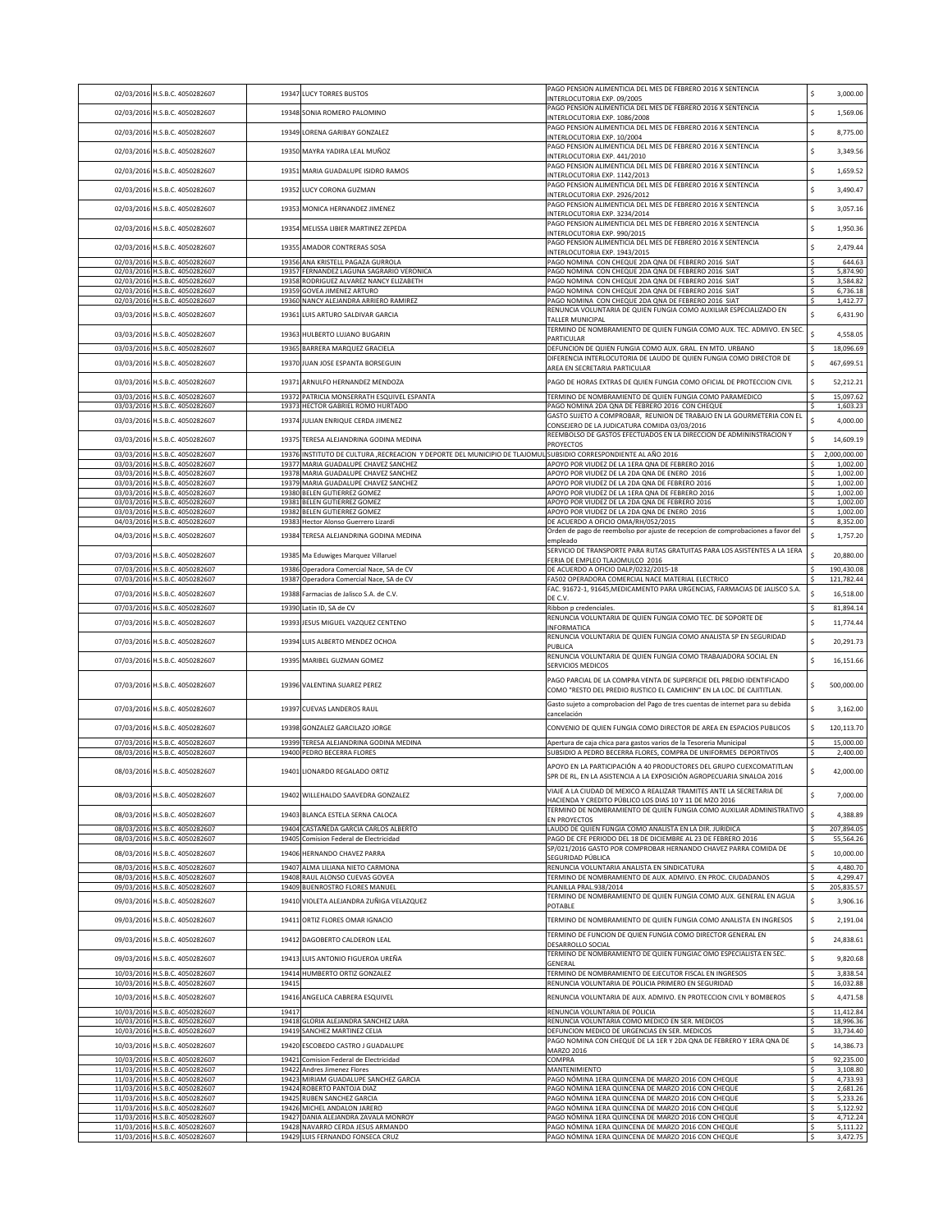| 02/03/2016 H.S.B.C. 4050282607                                                                     |                | 19347 LUCY TORRES BUSTOS                                                                                                                          | PAGO PENSION ALIMENTICIA DEL MES DE FEBRERO 2016 X SENTENCIA<br>NTERLOCUTORIA EXP. 09/2005                                                                     | \$ | 3,000.00                         |
|----------------------------------------------------------------------------------------------------|----------------|---------------------------------------------------------------------------------------------------------------------------------------------------|----------------------------------------------------------------------------------------------------------------------------------------------------------------|----|----------------------------------|
| 02/03/2016 H.S.B.C. 4050282607                                                                     |                | 19348 SONIA ROMERO PALOMINO                                                                                                                       | PAGO PENSION ALIMENTICIA DEL MES DE FEBRERO 2016 X SENTENCIA<br>NTERLOCUTORIA EXP. 1086/2008                                                                   | \$ | 1,569.06                         |
| 02/03/2016 H.S.B.C. 4050282607                                                                     | 19349          | LORENA GARIBAY GONZALEZ                                                                                                                           | PAGO PENSION ALIMENTICIA DEL MES DE FEBRERO 2016 X SENTENCIA<br>NTERLOCUTORIA EXP. 10/2004                                                                     | Ś  | 8,775.00                         |
| 02/03/2016 H.S.B.C. 4050282607                                                                     | 1935           | MAYRA YADIRA LEAL MUÑOZ                                                                                                                           | PAGO PENSION ALIMENTICIA DEL MES DE FEBRERO 2016 X SENTENCIA                                                                                                   | Ś  | 3,349.56                         |
| 02/03/2016 H.S.B.C. 4050282607                                                                     | 19351          | MARIA GUADALUPE ISIDRO RAMOS                                                                                                                      | NTERLOCUTORIA EXP. 441/2010<br>PAGO PENSION ALIMENTICIA DEL MES DE FEBRERO 2016 X SENTENCIA                                                                    | Ś  | 1,659.52                         |
| 02/03/2016 H.S.B.C. 4050282607                                                                     | 19352          | LUCY CORONA GUZMAN                                                                                                                                | NTERLOCUTORIA EXP. 1142/2013<br>PAGO PENSION ALIMENTICIA DEL MES DE FEBRERO 2016 X SENTENCIA                                                                   | Ś  | 3,490.47                         |
| 02/03/2016 H.S.B.C. 4050282607                                                                     | 19353          | MONICA HERNANDEZ JIMENEZ                                                                                                                          | <b>INTERLOCUTORIA EXP. 2926/2012</b><br>PAGO PENSION ALIMENTICIA DEL MES DE FEBRERO 2016 X SENTENCIA                                                           | Ś  | 3,057.16                         |
|                                                                                                    |                |                                                                                                                                                   | NTERLOCUTORIA EXP. 3234/2014<br>PAGO PENSION ALIMENTICIA DEL MES DE FEBRERO 2016 X SENTENCIA                                                                   |    |                                  |
| 02/03/2016 H.S.B.C. 4050282607                                                                     | 19354          | MELISSA LIBIER MARTINEZ ZEPEDA                                                                                                                    | NTERLOCUTORIA EXP. 990/2015<br>PAGO PENSION ALIMENTICIA DEL MES DE FEBRERO 2016 X SENTENCIA                                                                    | Ś  | 1,950.36                         |
| 02/03/2016 H.S.B.C. 4050282607<br>02/03/2016 H.S.B.C. 4050282607                                   |                | 19355 AMADOR CONTRERAS SOSA<br>19356 ANA KRISTELL PAGAZA GURROLA                                                                                  | NTERLOCUTORIA EXP. 1943/2015<br>PAGO NOMINA CON CHEQUE 2DA QNA DE FEBRERO 2016 SIAT                                                                            | Ś  | 2,479.44<br>644.63               |
| 02/03/2016 H.S.B.C. 4050282607                                                                     |                | 19357 FERNANDEZ LAGUNA SAGRARIO VERONICA                                                                                                          | PAGO NOMINA CON CHEQUE 2DA QNA DE FEBRERO 2016 SIAT                                                                                                            | Ś  | 5,874.90                         |
| 02/03/2016 H.S.B.C. 4050282607<br>02/03/2016 H.S.B.C. 4050282607                                   |                | 19358 RODRIGUEZ ALVAREZ NANCY ELIZABETH<br>19359 GOVEA JIMENEZ ARTURO                                                                             | PAGO NOMINA CON CHEQUE 2DA QNA DE FEBRERO 2016 SIAT<br>PAGO NOMINA CON CHEQUE 2DA QNA DE FEBRERO 2016 SIAT                                                     |    | 3,584.82<br>6,736.18             |
| 02/03/2016 H.S.B.C. 4050282607                                                                     |                | 19360 NANCY ALEJANDRA ARRIERO RAMIREZ                                                                                                             | PAGO NOMINA CON CHEQUE 2DA QNA DE FEBRERO 2016 SIAT<br>RENUNCIA VOLUNTARIA DE QUIEN FUNGIA COMO AUXILIAR ESPECIALIZADO EN                                      |    | 1,412.77                         |
| 03/03/2016 H.S.B.C. 4050282607                                                                     | 19361          | LUIS ARTURO SALDIVAR GARCIA                                                                                                                       | TALLER MUNICIPAL<br>TERMINO DE NOMBRAMIENTO DE QUIEN FUNGIA COMO AUX. TEC. ADMIVO. EN SEC.                                                                     |    | 6,431.90                         |
| 03/03/2016 H.S.B.C. 4050282607<br>03/03/2016 H.S.B.C. 4050282607                                   | 19363          | HULBERTO LUJANO BUGARIN<br>19365 BARRERA MARQUEZ GRACIELA                                                                                         | PARTICULAR<br>DEFUNCION DE QUIEN FUNGIA COMO AUX. GRAL. EN MTO. URBANO                                                                                         | Ś  | 4,558.05<br>18,096.69            |
| 03/03/2016 H.S.B.C. 4050282607                                                                     | 19370          | JUAN JOSE ESPANTA BORSEGUIN                                                                                                                       | DIFERENCIA INTERLOCUTORIA DE LAUDO DE QUIEN FUNGIA COMO DIRECTOR DE                                                                                            | \$ | 467,699.51                       |
| 03/03/2016 H.S.B.C. 4050282607                                                                     | 19371          | ARNULFO HERNANDEZ MENDOZA                                                                                                                         | AREA EN SECRETARIA PARTICULAR<br>PAGO DE HORAS EXTRAS DE QUIEN FUNGIA COMO OFICIAL DE PROTECCION CIVIL                                                         | \$ | 52,212.21                        |
| 03/03/2016 H.S.B.C. 4050282607                                                                     |                | 19372 PATRICIA MONSERRATH ESQUIVEL ESPANTA                                                                                                        | TERMINO DE NOMBRAMIENTO DE QUIEN FUNGIA COMO PARAMEDICO                                                                                                        |    | 15,097.62                        |
| 03/03/2016 H.S.B.C. 4050282607                                                                     | 19373          | HECTOR GABRIEL ROMO HURTADO                                                                                                                       | PAGO NOMINA 2DA QNA DE FEBRERO 2016 CON CHEQUE<br>GASTO SUJETO A COMPROBAR, REUNION DE TRABAJO EN LA GOURMETERIA CON EL                                        |    | 1,603.23                         |
| 03/03/2016 H.S.B.C. 4050282607                                                                     | 19374          | JULIAN ENRIQUE CERDA JIMENEZ                                                                                                                      | CONSEJERO DE LA JUDICATURA COMIDA 03/03/2016<br>REEMBOLSO DE GASTOS EFECTUADOS EN LA DIRECCION DE ADMININSTRACION Y                                            |    | 4,000.00                         |
| 03/03/2016 H.S.B.C. 4050282607                                                                     | 19375          | TERESA ALEJANDRINA GODINA MEDINA                                                                                                                  | PROYECTOS                                                                                                                                                      |    | 14,609.19                        |
| 03/03/2016 H.S.B.C. 4050282607<br>03/03/2016 H.S.B.C. 4050282607                                   | 19377          | 19376 INSTITUTO DE CULTURA ,RECREACION Y DEPORTE DEL MUNICIPIO DE TLAJOMUL SUBSIDIO CORRESPONDIENTE AL AÑO 2016<br>MARIA GUADALUPE CHAVEZ SANCHEZ | APOYO POR VIUDEZ DE LA 1ERA QNA DE FEBRERO 2016                                                                                                                | s. | 2,000,000.00<br>1,002.00         |
| 03/03/2016 H.S.B.C. 4050282607<br>03/03/2016 H.S.B.C. 4050282607                                   | 19378<br>19379 | MARIA GUADALUPE CHAVEZ SANCHEZ<br>MARIA GUADALUPE CHAVEZ SANCHEZ                                                                                  | APOYO POR VIUDEZ DE LA 2DA QNA DE ENERO 2016<br>APOYO POR VIUDEZ DE LA 2DA QNA DE FEBRERO 2016                                                                 |    | 1,002.00<br>1,002.00             |
| 03/03/2016 H.S.B.C. 4050282607                                                                     | 19380          | BELEN GUTIERREZ GOMEZ                                                                                                                             | APOYO POR VIUDEZ DE LA 1ERA QNA DE FEBRERO 2016                                                                                                                |    | 1,002.00                         |
| 03/03/2016 H.S.B.C. 4050282607<br>03/03/2016 H.S.B.C. 4050282607                                   | 19381          | BELEN GUTIERREZ GOMEZ<br>19382 BELEN GUTIERREZ GOMEZ                                                                                              | APOYO POR VIUDEZ DE LA 2DA QNA DE FEBRERO 2016<br>APOYO POR VIUDEZ DE LA 2DA QNA DE ENERO 2016                                                                 | s  | 1,002.00<br>1,002.00             |
| 04/03/2016 H.S.B.C. 4050282607                                                                     |                | 19383 Hector Alonso Guerrero Lizardi                                                                                                              | DE ACUERDO A OFICIO OMA/RH/052/2015<br>Orden de pago de reembolso por ajuste de recepcion de comprobaciones a favor del                                        |    | 8,352.00                         |
| 04/03/2016 H.S.B.C. 4050282607                                                                     | 19384          | TERESA ALEJANDRINA GODINA MEDINA                                                                                                                  | empleado<br>SERVICIO DE TRANSPORTE PARA RUTAS GRATUITAS PARA LOS ASISTENTES A LA 1ERA                                                                          |    | 1,757.20                         |
| 07/03/2016 H.S.B.C. 4050282607                                                                     |                | 19385 Ma Eduwiges Marquez Villaruel                                                                                                               | FERIA DE EMPLEO TLAJOMULCO 2016                                                                                                                                |    | 20,880.00                        |
| 07/03/2016 H.S.B.C. 4050282607<br>07/03/2016 H.S.B.C. 4050282607                                   |                | 19386 Operadora Comercial Nace, SA de CV<br>19387 Operadora Comercial Nace, SA de CV                                                              | DE ACUERDO A OFICIO DALP/0232/2015-18<br>A502 OPERADORA COMERCIAL NACE MATERIAL ELECTRICO                                                                      |    | 190,430.08<br>121,782.44         |
| 07/03/2016 H.S.B.C. 4050282607                                                                     |                | 19388 Farmacias de Jalisco S.A. de C.V.                                                                                                           | FAC. 91672-1, 91645, MEDICAMENTO PARA URGENCIAS, FARMACIAS DE JALISCO S.A.<br>DE C.V.                                                                          |    | 16,518.00                        |
| 07/03/2016 H.S.B.C. 4050282607                                                                     | 19390          | Latin ID, SA de CV                                                                                                                                | Ribbon p credenciales.<br>RENUNCIA VOLUNTARIA DE QUIEN FUNGIA COMO TEC. DE SOPORTE DE                                                                          |    | 81,894.14                        |
|                                                                                                    |                |                                                                                                                                                   |                                                                                                                                                                |    |                                  |
| 07/03/2016 H.S.B.C. 4050282607                                                                     | 19393          | JESUS MIGUEL VAZQUEZ CENTENO                                                                                                                      | NFORMATICA                                                                                                                                                     | Ś  | 11,774.44                        |
| 07/03/2016 H.S.B.C. 4050282607                                                                     | 19394          | LUIS ALBERTO MENDEZ OCHOA                                                                                                                         | RENUNCIA VOLUNTARIA DE QUIEN FUNGIA COMO ANALISTA SP EN SEGURIDAD<br>PUBLICA                                                                                   | Ś  | 20,291.73                        |
| 07/03/2016 H.S.B.C. 4050282607                                                                     |                | 19395 MARIBEL GUZMAN GOMEZ                                                                                                                        | RENUNCIA VOLUNTARIA DE QUIEN FUNGIA COMO TRABAJADORA SOCIAL EN<br><b>SERVICIOS MEDICOS</b>                                                                     | Ś  | 16,151.66                        |
| 07/03/2016 H.S.B.C. 4050282607                                                                     |                | 19396 VALENTINA SUAREZ PEREZ                                                                                                                      | PAGO PARCIAL DE LA COMPRA VENTA DE SUPERFICIE DEL PREDIO IDENTIFICADO<br>COMO "RESTO DEL PREDIO RUSTICO EL CAMICHIN" EN LA LOC. DE CAJITITLAN.                 | \$ | 500,000.00                       |
| 07/03/2016 H.S.B.C. 4050282607                                                                     | 19397          | <b>CUEVAS LANDEROS RAUL</b>                                                                                                                       | Gasto sujeto a comprobacion del Pago de tres cuentas de internet para su debida<br>cancelación                                                                 | \$ | 3,162.00                         |
| 07/03/2016 H.S.B.C. 4050282607                                                                     |                | 19398 GONZALEZ GARCILAZO JORGE                                                                                                                    | CONVENIO DE QUIEN FUNGIA COMO DIRECTOR DE AREA EN ESPACIOS PUBLICOS                                                                                            | \$ | 120,113.70                       |
| 07/03/2016 H.S.B.C. 4050282607                                                                     |                | 19399 TERESA ALEJANDRINA GODINA MEDINA                                                                                                            | Apertura de caja chica para gastos varios de la Tesoreria Municipal                                                                                            |    | 15,000.00                        |
| 08/03/2016 H.S.B.C. 4050282607                                                                     |                | 19400 PEDRO BECERRA FLORES                                                                                                                        | SUBSIDIO A PEDRO BECERRA FLORES, COMPRA DE UNIFORMES DEPORTIVOS<br>APOYO EN LA PARTICIPACIÓN A 40 PRODUCTORES DEL GRUPO CUEXCOMATITLAN                         | Š. | 2,400.00                         |
| 08/03/2016 H.S.B.C. 4050282607                                                                     |                | 19401 LIONARDO REGALADO ORTIZ                                                                                                                     | SPR DE RL, EN LA ASISTENCIA A LA EXPOSICIÓN AGROPECUARIA SINALOA 2016                                                                                          | \$ | 42,000.00                        |
| 08/03/2016 H.S.B.C. 4050282607                                                                     | 19402          | WILLEHALDO SAAVEDRA GONZALEZ                                                                                                                      | /IAJE A LA CIUDAD DE MEXICO A REALIZAR TRAMITES ANTE LA SECRETARIA DE<br>HACIENDA Y CREDITO PÚBLICO LOS DIAS 10 Y 11 DE MZO 2016                               | Ś  | 7,000.00                         |
| 08/03/2016 H.S.B.C. 4050282607                                                                     |                | 19403 BLANCA ESTELA SERNA CALOCA                                                                                                                  | FERMINO DE NOMBRAMIENTO DE QUIEN FUNGIA COMO AUXILIAR ADMINISTRATIVO<br>IN PROYECTOS                                                                           |    | 4,388.89                         |
| 08/03/2016 H.S.B.C. 4050282607<br>08/03/2016 H.S.B.C. 4050282607                                   |                | 19404 CASTAÑEDA GARCIA CARLOS ALBERTO<br>19405 Comision Federal de Electricidad                                                                   | LAUDO DE QUIEN FUNGIA COMO ANALISTA EN LA DIR. JURIDICA<br>PAGO DE CFE PERIODO DEL 18 DE DICIEMBRE AL 23 DE FEBRERO 2016                                       |    | 207,894.05<br>55,564.26          |
| 08/03/2016 H.S.B.C. 4050282607                                                                     |                | 19406 HERNANDO CHAVEZ PARRA                                                                                                                       | SP/021/2016 GASTO POR COMPROBAR HERNANDO CHAVEZ PARRA COMIDA DE<br><b>EGURIDAD PÚBLICA</b>                                                                     | Ś  | 10,000.00                        |
| 08/03/2016 H.S.B.C. 4050282607                                                                     |                | 19407 ALMA LILIANA NIETO CARMONA                                                                                                                  | RENUNCIA VOLUNTARIA ANALISTA EN SINDICATURA                                                                                                                    |    | 4,480.70                         |
| 08/03/2016 H.S.B.C. 4050282607<br>09/03/2016 H.S.B.C. 4050282607                                   |                | 19408 RAUL ALONSO CUEVAS GOVEA<br>19409 BUENROSTRO FLORES MANUEL                                                                                  | TERMINO DE NOMBRAMIENTO DE AUX. ADMIVO. EN PROC. CIUDADANOS<br>PLANILLA PRAL.938/2014                                                                          |    | 4,299.47<br>205,835.57           |
| 09/03/2016 H.S.B.C. 4050282607                                                                     |                | 19410 VIOLETA ALEJANDRA ZUÑIGA VELAZQUEZ                                                                                                          | FERMINO DE NOMBRAMIENTO DE QUIEN FUNGIA COMO AUX. GENERAL EN AGUA<br>POTABLE                                                                                   |    | 3,906.16                         |
| 09/03/2016 H.S.B.C. 4050282607                                                                     | 19411          | ORTIZ FLORES OMAR IGNACIO                                                                                                                         | TERMINO DE NOMBRAMIENTO DE QUIEN FUNGIA COMO ANALISTA EN INGRESOS                                                                                              | Ś  | 2,191.04                         |
| 09/03/2016 H.S.B.C. 4050282607                                                                     | 19412          | DAGOBERTO CALDERON LEAL                                                                                                                           | TERMINO DE FUNCION DE QUIEN FUNGIA COMO DIRECTOR GENERAL EN<br>DESARROLLO SOCIAL                                                                               | Ś  | 24,838.61                        |
| 09/03/2016 H.S.B.C. 4050282607                                                                     | 19413          | LUIS ANTONIO FIGUEROA UREÑA                                                                                                                       | TERMINO DE NOMBRAMIENTO DE QUIEN FUNGIAC OMO ESPECIALISTA EN SEC.                                                                                              | Ś  | 9,820.68                         |
| 10/03/2016 H.S.B.C. 4050282607                                                                     | 19414          | HUMBERTO ORTIZ GONZALEZ                                                                                                                           | GENERAL<br>TERMINO DE NOMBRAMIENTO DE EJECUTOR FISCAL EN INGRESOS                                                                                              | \$ | 3,838.54                         |
| 10/03/2016 H.S.B.C. 4050282607<br>10/03/2016 H.S.B.C. 4050282607                                   | 19415<br>19416 | ANGELICA CABRERA ESQUIVEL                                                                                                                         | RENUNCIA VOLUNTARIA DE POLICIA PRIMERO EN SEGURIDAD<br>RENUNCIA VOLUNTARIA DE AUX. ADMIVO. EN PROTECCION CIVIL Y BOMBEROS                                      | \$ | 16,032.88                        |
| 10/03/2016 H.S.B.C. 4050282607                                                                     | 19417          |                                                                                                                                                   | RENUNCIA VOLUNTARIA DE POLICIA                                                                                                                                 |    | 4,471.58<br>11,412.84            |
| 10/03/2016 H.S.B.C. 4050282607<br>10/03/2016 H.S.B.C. 4050282607                                   |                | 19418 GLORIA ALEJANDRA SANCHEZ LARA<br>19419 SANCHEZ MARTINEZ CELIA                                                                               | RENUNCIA VOLUNTARIA COMO MEDICO EN SER. MEDICOS<br>DEFUNCION MEDICO DE URGENCIAS EN SER. MEDICOS                                                               |    | 18,996.36<br>33,734.40           |
| 10/03/2016 H.S.B.C. 4050282607                                                                     |                | 19420 ESCOBEDO CASTRO J GUADALUPE                                                                                                                 | PAGO NOMINA CON CHEQUE DE LA 1ER Y 2DA QNA DE FEBRERO Y 1ERA QNA DE<br><b>MARZO 2016</b>                                                                       | \$ | 14,386.73                        |
| 10/03/2016 H.S.B.C. 4050282607                                                                     |                | 19421 Comision Federal de Electricidad                                                                                                            | COMPRA                                                                                                                                                         |    | 92,235.00                        |
| 11/03/2016 H.S.B.C. 4050282607<br>11/03/2016 H.S.B.C. 4050282607                                   |                | 19422 Andres Jimenez Flores<br>19423 MIRIAM GUADALUPE SANCHEZ GARCIA                                                                              | MANTENIMIENTO<br>PAGO NÓMINA 1ERA QUINCENA DE MARZO 2016 CON CHEQUE                                                                                            | \$ | 3,108.80<br>4,733.93             |
| 11/03/2016 H.S.B.C. 4050282607<br>11/03/2016 H.S.B.C. 4050282607                                   |                | 19424 ROBERTO PANTOJA DIAZ<br>19425 RUBEN SANCHEZ GARCIA                                                                                          | PAGO NÓMINA 1ERA QUINCENA DE MARZO 2016 CON CHEQUE<br>PAGO NÓMINA 1ERA QUINCENA DE MARZO 2016 CON CHEQUE                                                       |    | 2,681.26<br>5,233.26             |
| 11/03/2016 H.S.B.C. 4050282607                                                                     |                | 19426 MICHEL ANDALON JARERO                                                                                                                       | PAGO NÓMINA 1ERA QUINCENA DE MARZO 2016 CON CHEQUE                                                                                                             |    | 5,122.92                         |
| 11/03/2016 H.S.B.C. 4050282607<br>11/03/2016 H.S.B.C. 4050282607<br>11/03/2016 H.S.B.C. 4050282607 |                | 19427 DANIA ALEJANDRA ZAVALA MONROY<br>19428 NAVARRO CERDA JESUS ARMANDO<br>19429 LUIS FERNANDO FONSECA CRUZ                                      | PAGO NÓMINA 1ERA QUINCENA DE MARZO 2016 CON CHEQUE<br>PAGO NÓMINA 1ERA QUINCENA DE MARZO 2016 CON CHEQUE<br>PAGO NÓMINA 1ERA QUINCENA DE MARZO 2016 CON CHEQUE | s  | 4,712.24<br>5,111.22<br>3,472.75 |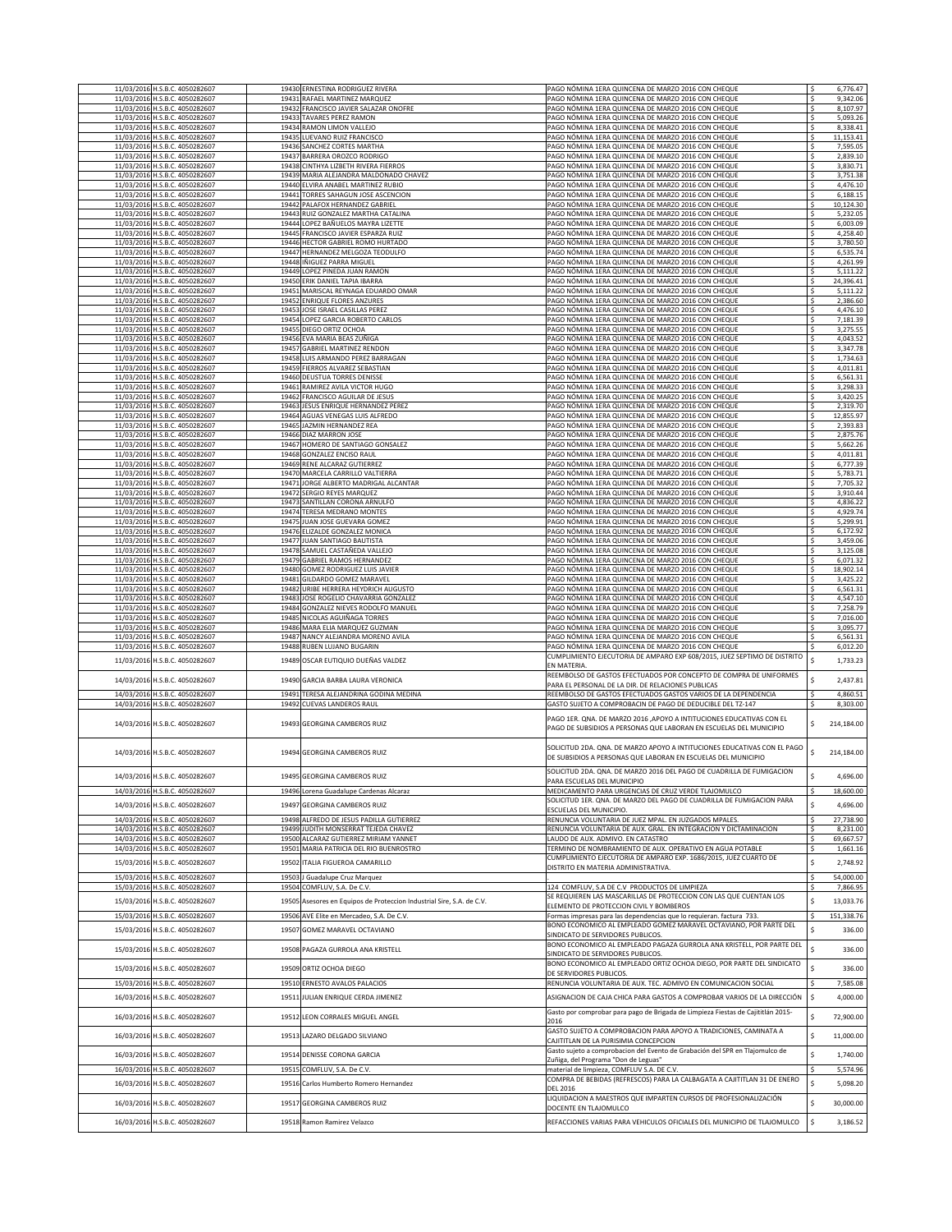|                          | 11/03/2016 H.S.B.C. 4050282607                                   |                | 19430 ERNESTINA RODRIGUEZ RIVERA                                     | PAGO NÓMINA 1ERA QUINCENA DE MARZO 2016 CON CHEQUE                                                                    |              | 6,776.47              |
|--------------------------|------------------------------------------------------------------|----------------|----------------------------------------------------------------------|-----------------------------------------------------------------------------------------------------------------------|--------------|-----------------------|
| 11/03/2016               | H.S.B.C. 4050282607                                              | 19431          | RAFAEL MARTINEZ MARQUEZ                                              | AGO NÓMINA 1ERA QUINCENA DE MARZO 2016 CON CHEQUE                                                                     |              | 9,342.06              |
| 11/03/2016               | H.S.B.C. 4050282607                                              | 19432          | FRANCISCO JAVIER SALAZAR ONOFRE                                      | PAGO NÓMINA 1ERA QUINCENA DE MARZO 2016 CON CHEQUE                                                                    | S            | 8,107.97              |
|                          | 11/03/2016 H.S.B.C. 4050282607<br>11/03/2016 H.S.B.C. 4050282607 | 19433<br>19434 | <b>FAVARES PEREZ RAMON</b><br>RAMON LIMON VALLEJO                    | PAGO NÓMINA 1ERA QUINCENA DE MARZO 2016 CON CHEQUE<br>PAGO NÓMINA 1ERA QUINCENA DE MARZO 2016 CON CHEQUE              | \$           | 5,093.26<br>8,338.41  |
|                          | 11/03/2016 H.S.B.C. 4050282607                                   | 19435          | LUEVANO RUIZ FRANCISCO                                               | PAGO NÓMINA 1ERA QUINCENA DE MARZO 2016 CON CHEQUE                                                                    | \$           | 11,153.41             |
|                          | 11/03/2016 H.S.B.C. 4050282607                                   |                | 19436 SANCHEZ CORTES MARTHA                                          | PAGO NÓMINA 1ERA QUINCENA DE MARZO 2016 CON CHEQUE                                                                    | \$           | 7,595.05              |
|                          | 11/03/2016 H.S.B.C. 4050282607                                   |                | 19437 BARRERA OROZCO RODRIGO                                         | PAGO NÓMINA 1ERA QUINCENA DE MARZO 2016 CON CHEQUE                                                                    | s            | 2,839.10              |
|                          | 11/03/2016 H.S.B.C. 4050282607<br>11/03/2016 H.S.B.C. 4050282607 | 19438<br>19439 | CINTHYA LIZBETH RIVERA FIERROS<br>MARIA ALEJANDRA MALDONADO CHAVEZ   | PAGO NÓMINA 1ERA QUINCENA DE MARZO 2016 CON CHEQUE<br>PAGO NÓMINA 1ERA QUINCENA DE MARZO 2016 CON CHEQUE              |              | 3,830.71<br>3,751.38  |
|                          | 11/03/2016 H.S.B.C. 4050282607                                   | 19440          | ELVIRA ANABEL MARTINEZ RUBIO                                         | PAGO NÓMINA 1ERA QUINCENA DE MARZO 2016 CON CHEQUE                                                                    |              | 4,476.10              |
|                          | 11/03/2016 H.S.B.C. 4050282607                                   |                | 19441 TORRES SAHAGUN JOSE ASCENCION                                  | PAGO NÓMINA 1ERA QUINCENA DE MARZO 2016 CON CHEQUE                                                                    | Ś            | 6,188.15              |
|                          | 11/03/2016 H.S.B.C. 4050282607                                   | 19442          | PALAFOX HERNANDEZ GABRIEL                                            | PAGO NÓMINA 1ERA QUINCENA DE MARZO 2016 CON CHEQUE                                                                    | Ś            | 10,124.30             |
|                          | 11/03/2016 H.S.B.C. 4050282607                                   |                | 19443 RUIZ GONZALEZ MARTHA CATALINA                                  | PAGO NÓMINA 1ERA QUINCENA DE MARZO 2016 CON CHEQUE                                                                    | \$<br>Ś      | 5,232.05              |
|                          | 11/03/2016 H.S.B.C. 4050282607<br>11/03/2016 H.S.B.C. 4050282607 | 19444          | LOPEZ BAÑUELOS MAYRA LIZETTE<br>19445 FRANCISCO JAVIER ESPARZA RUIZ  | PAGO NÓMINA 1ERA QUINCENA DE MARZO 2016 CON CHEQUE<br>PAGO NÓMINA 1ERA QUINCENA DE MARZO 2016 CON CHEQUE              | <sub>S</sub> | 6,003.09<br>4,258.40  |
|                          | 11/03/2016 H.S.B.C. 4050282607                                   | 19446          | HECTOR GABRIEL ROMO HURTADO                                          | PAGO NÓMINA 1ERA QUINCENA DE MARZO 2016 CON CHEQUE                                                                    |              | 3,780.50              |
|                          | 11/03/2016 H.S.B.C. 4050282607                                   | 19447          | HERNANDEZ MELGOZA TEODULFO                                           | PAGO NÓMINA 1ERA QUINCENA DE MARZO 2016 CON CHEQUE                                                                    |              | 6,535.74              |
|                          | 11/03/2016 H.S.B.C. 4050282607                                   | 19448          | IÑIGUEZ PARRA MIGUEL                                                 | PAGO NÓMINA 1ERA QUINCENA DE MARZO 2016 CON CHEQUE                                                                    | Ś            | 4,261.99              |
|                          | 11/03/2016 H.S.B.C. 4050282607<br>11/03/2016 H.S.B.C. 4050282607 | 19449<br>19450 | LOPEZ PINEDA JUAN RAMON<br>ERIK DANIEL TAPIA IBARRA                  | PAGO NÓMINA 1ERA QUINCENA DE MARZO 2016 CON CHEQUE<br>PAGO NÓMINA 1ERA QUINCENA DE MARZO 2016 CON CHEQUE              | Ś<br>\$      | 5,111.22<br>24,396.41 |
|                          | 11/03/2016 H.S.B.C. 4050282607                                   | 19451          | MARISCAL REYNAGA EDUARDO OMAR                                        | PAGO NÓMINA 1ERA QUINCENA DE MARZO 2016 CON CHEQUE                                                                    | \$           | 5,111.22              |
|                          | 11/03/2016 H.S.B.C. 4050282607                                   | 19452          | <b>ENRIQUE FLORES ANZURES</b>                                        | PAGO NÓMINA 1ERA QUINCENA DE MARZO 2016 CON CHEQUE                                                                    | Ś            | 2,386.60              |
|                          | 11/03/2016 H.S.B.C. 4050282607                                   |                | 19453 JOSE ISRAEL CASILLAS PEREZ                                     | PAGO NÓMINA 1ERA QUINCENA DE MARZO 2016 CON CHEQUE                                                                    |              | 4,476.10              |
|                          | 11/03/2016 H.S.B.C. 4050282607<br>11/03/2016 H.S.B.C. 4050282607 | 19454<br>19455 | LOPEZ GARCIA ROBERTO CARLOS<br>DIEGO ORTIZ OCHOA                     | PAGO NÓMINA 1ERA QUINCENA DE MARZO 2016 CON CHEQUE<br>PAGO NÓMINA 1ERA QUINCENA DE MARZO 2016 CON CHEQUE              |              | 7,181.39<br>3,275.55  |
|                          | 11/03/2016 H.S.B.C. 4050282607                                   | 19456          | EVA MARIA BEAS ZUÑIGA                                                | PAGO NÓMINA 1ERA QUINCENA DE MARZO 2016 CON CHEQUE                                                                    |              | 4,043.52              |
|                          | 11/03/2016 H.S.B.C. 4050282607                                   | 19457          | <b>GABRIEL MARTINEZ RENDON</b>                                       | PAGO NÓMINA 1ERA QUINCENA DE MARZO 2016 CON CHEQUE                                                                    | <sub>S</sub> | 3,347.78              |
|                          | 11/03/2016 H.S.B.C. 4050282607                                   | 19458          | LUIS ARMANDO PEREZ BARRAGAN                                          | PAGO NÓMINA 1ERA QUINCENA DE MARZO 2016 CON CHEQUE                                                                    |              | 1,734.63              |
|                          | 11/03/2016 H.S.B.C. 4050282607<br>11/03/2016 H.S.B.C. 4050282607 | 19459<br>19460 | FIERROS ALVAREZ SEBASTIAN<br>DEUSTUA TORRES DENISSE                  | PAGO NÓMINA 1ERA QUINCENA DE MARZO 2016 CON CHEQUE<br>PAGO NÓMINA 1ERA QUINCENA DE MARZO 2016 CON CHEQUE              |              | 4,011.81<br>6,561.31  |
|                          | 11/03/2016 H.S.B.C. 4050282607                                   | 19461          | RAMIREZ AVILA VICTOR HUGO                                            | PAGO NÓMINA 1ERA QUINCENA DE MARZO 2016 CON CHEQUE                                                                    |              | 3,298.33              |
|                          | 11/03/2016 H.S.B.C. 4050282607                                   | 19462          | RANCISCO AGUILAR DE JESUS                                            | PAGO NÓMINA 1ERA QUINCENA DE MARZO 2016 CON CHEQUE                                                                    |              | 3,420.25              |
|                          | 11/03/2016 H.S.B.C. 4050282607                                   | 19463          | JESUS ENRIQUE HERNANDEZ PEREZ                                        | PAGO NÓMINA 1ERA QUINCENA DE MARZO 2016 CON CHEQUE                                                                    |              | 2,319.70              |
| 11/03/2016<br>11/03/2016 | H.S.B.C. 4050282607<br>H.S.B.C. 4050282607                       | 19464<br>19465 | <b>AGUAS VENEGAS LUIS ALFREDO</b><br>AZMIN HERNANDEZ REA             | PAGO NÓMINA 1ERA QUINCENA DE MARZO 2016 CON CHEQUE<br>PAGO NÓMINA 1ERA QUINCENA DE MARZO 2016 CON CHEQUE              |              | 12.855.97<br>2,393.83 |
|                          | 11/03/2016 H.S.B.C. 4050282607                                   | 19466          | DIAZ MARRON JOSE                                                     | PAGO NÓMINA 1ERA QUINCENA DE MARZO 2016 CON CHEQUE                                                                    | S            | 2,875.76              |
|                          | 11/03/2016 H.S.B.C. 4050282607                                   | 19467          | HOMERO DE SANTIAGO GONSALEZ                                          | PAGO NÓMINA 1ERA QUINCENA DE MARZO 2016 CON CHEQUE                                                                    | \$           | 5,662.26              |
|                          | 11/03/2016 H.S.B.C. 4050282607                                   | 19468          | GONZALEZ ENCISO RAUL                                                 | PAGO NÓMINA 1ERA QUINCENA DE MARZO 2016 CON CHEQUE                                                                    | s            | 4,011.81              |
|                          | 11/03/2016 H.S.B.C. 4050282607<br>11/03/2016 H.S.B.C. 4050282607 | 19469          | RENE ALCARAZ GUTIERREZ<br>19470 MARCELA CARRILLO VALTIERRA           | PAGO NÓMINA 1ERA QUINCENA DE MARZO 2016 CON CHEQUE                                                                    | Ś<br>s       | 6,777.39<br>5,783.71  |
|                          | 11/03/2016 H.S.B.C. 4050282607                                   |                | 19471 JORGE ALBERTO MADRIGAL ALCANTAR                                | PAGO NÓMINA 1ERA QUINCENA DE MARZO 2016 CON CHEQUE<br>PAGO NÓMINA 1ERA QUINCENA DE MARZO 2016 CON CHEQUE              |              | 7,705.32              |
|                          | 11/03/2016 H.S.B.C. 4050282607                                   | 19472          | SERGIO REYES MARQUEZ                                                 | PAGO NÓMINA 1ERA QUINCENA DE MARZO 2016 CON CHEQUE                                                                    |              | 3,910.44              |
|                          | 11/03/2016 H.S.B.C. 4050282607                                   | 19473          | SANTILLAN CORONA ARNULFO                                             | PAGO NÓMINA 1ERA QUINCENA DE MARZO 2016 CON CHEQUE                                                                    |              | 4,836.22              |
|                          | 11/03/2016 H.S.B.C. 4050282607<br>11/03/2016 H.S.B.C. 4050282607 | 19475          | 19474 TERESA MEDRANO MONTES<br>JUAN JOSE GUEVARA GOMEZ               | PAGO NÓMINA 1ERA QUINCENA DE MARZO 2016 CON CHEQUE                                                                    |              | 4,929.74              |
|                          | 11/03/2016 H.S.B.C. 4050282607                                   |                | 19476 ELIZALDE GONZALEZ MONICA                                       | PAGO NÓMINA 1ERA QUINCENA DE MARZO 2016 CON CHEQUE<br>PAGO NÓMINA 1ERA QUINCENA DE MARZO 2016 CON CHEQUE              | Ś            | 5,299.91<br>6,172.92  |
|                          | 11/03/2016 H.S.B.C. 4050282607                                   |                | 19477 JUAN SANTIAGO BAUTISTA                                         | PAGO NÓMINA 1ERA QUINCENA DE MARZO 2016 CON CHEQUE                                                                    |              | 3,459.06              |
|                          | 11/03/2016 H.S.B.C. 4050282607                                   | 19478          | SAMUEL CASTAÑEDA VALLEJO                                             | PAGO NÓMINA 1ERA QUINCENA DE MARZO 2016 CON CHEQUE                                                                    |              | 3,125.08              |
|                          | 11/03/2016 H.S.B.C. 4050282607                                   | 19479          | GABRIEL RAMOS HERNANDEZ                                              | PAGO NÓMINA 1ERA QUINCENA DE MARZO 2016 CON CHEQUE                                                                    |              | 6,071.32              |
|                          | 11/03/2016 H.S.B.C. 4050282607<br>11/03/2016 H.S.B.C. 4050282607 | 19480<br>19481 | GOMEZ RODRIGUEZ LUIS JAVIER<br>GILDARDO GOMEZ MARAVEL                | PAGO NÓMINA 1ERA QUINCENA DE MARZO 2016 CON CHEQUE<br>PAGO NÓMINA 1ERA QUINCENA DE MARZO 2016 CON CHEQUE              |              | 18,902.14<br>3,425.22 |
|                          | 11/03/2016 H.S.B.C. 4050282607                                   | 19482          | URIBE HERRERA HEYDRICH AUGUSTO                                       | PAGO NÓMINA 1ERA QUINCENA DE MARZO 2016 CON CHEQUE                                                                    | Ś            | 6,561.31              |
|                          | 11/03/2016 H.S.B.C. 4050282607                                   | 19483          | JOSE ROGELIO CHAVARRIA GONZALEZ                                      | PAGO NÓMINA 1ERA QUINCENA DE MARZO 2016 CON CHEQUE                                                                    |              | 4,547.10              |
|                          | 11/03/2016 H.S.B.C. 4050282607                                   | 19484          | GONZALEZ NIEVES RODOLFO MANUEL                                       | PAGO NÓMINA 1ERA QUINCENA DE MARZO 2016 CON CHEQUE                                                                    |              | 7,258.79              |
|                          |                                                                  |                |                                                                      |                                                                                                                       |              |                       |
|                          | 11/03/2016 H.S.B.C. 4050282607                                   | 19485          | NICOLAS AGUIÑAGA TORRES                                              | PAGO NÓMINA 1ERA QUINCENA DE MARZO 2016 CON CHEQUE                                                                    |              | 7,016.00              |
|                          | 11/03/2016 H.S.B.C. 4050282607<br>11/03/2016 H.S.B.C. 4050282607 |                | 19486 MARA ELIA MARQUEZ GUZMAN<br>19487 NANCY ALEJANDRA MORENO AVILA | PAGO NÓMINA 1ERA QUINCENA DE MARZO 2016 CON CHEQUE<br>PAGO NÓMINA 1ERA QUINCENA DE MARZO 2016 CON CHEQUE              |              | 3,095.77<br>6,561.31  |
|                          | 11/03/2016 H.S.B.C. 4050282607                                   | 19488          | RUBEN LUJANO BUGARIN                                                 | PAGO NÓMINA 1ERA QUINCENA DE MARZO 2016 CON CHEQUE                                                                    |              | 6,012.20              |
| 11/03/2016               | H.S.B.C. 4050282607                                              | 19489          | OSCAR EUTIQUIO DUEÑAS VALDEZ                                         | CUMPLIMIENTO EJECUTORIA DE AMPARO EXP 608/2015, JUEZ SEPTIMO DE DISTRITO                                              |              | 1,733.23              |
|                          |                                                                  |                |                                                                      | <b>EN MATERIA</b><br>REEMBOLSO DE GASTOS EFECTUADOS POR CONCEPTO DE COMPRA DE UNIFORMES                               |              |                       |
|                          | 14/03/2016 H.S.B.C. 4050282607                                   | 19490          | GARCIA BARBA LAURA VERONICA                                          | PARA EL PERSONAL DE LA DIR. DE RELACIONES PUBLICAS                                                                    | Ś            | 2,437.81              |
|                          | 14/03/2016 H.S.B.C. 4050282607                                   | 19491          | TERESA ALEJANDRINA GODINA MEDINA                                     | REEMBOLSO DE GASTOS EFECTUADOS GASTOS VARIOS DE LA DEPENDENCIA                                                        |              | 4,860.51              |
|                          | 14/03/2016 H.S.B.C. 4050282607                                   | 19492          | CUEVAS LANDEROS RAUL                                                 | GASTO SUJETO A COMPROBACIN DE PAGO DE DEDUCIBLE DEL TZ-147                                                            |              | 8,303.00              |
|                          |                                                                  | 19493          | GEORGINA CAMBEROS RUIZ                                               | PAGO 1ER. QNA. DE MARZO 2016 ,APOYO A INTITUCIONES EDUCATIVAS CON EL                                                  |              |                       |
|                          | 14/03/2016 H.S.B.C. 4050282607                                   |                |                                                                      | PAGO DE SUBSIDIOS A PERSONAS QUE LABORAN EN ESCUELAS DEL MUNICIPIO                                                    |              | 214,184.00            |
|                          |                                                                  |                |                                                                      | SOLICITUD 2DA. QNA. DE MARZO APOYO A INTITUCIONES EDUCATIVAS CON EL PAGO                                              |              |                       |
|                          | 14/03/2016 H.S.B.C. 4050282607                                   | 19494          | GEORGINA CAMBEROS RUIZ                                               | DE SUBSIDIOS A PERSONAS QUE LABORAN EN ESCUELAS DEL MUNICIPIO                                                         | \$           | 214,184.00            |
|                          |                                                                  |                |                                                                      | SOLICITUD 2DA. QNA. DE MARZO 2016 DEL PAGO DE CUADRILLA DE FUMIGACION                                                 |              |                       |
|                          | 14/03/2016 H.S.B.C. 4050282607                                   |                | 19495 GEORGINA CAMBEROS RUIZ                                         | PARA ESCUELAS DEL MUNICIPIO                                                                                           |              | 4,696.00              |
|                          | 14/03/2016 H.S.B.C. 4050282607                                   |                | 19496 Lorena Guadalupe Cardenas Alcaraz                              | MEDICAMENTO PARA URGENCIAS DE CRUZ VERDE TLAJOMULCO                                                                   | s            | 18,600.00             |
|                          | 14/03/2016 H.S.B.C. 4050282607                                   |                | 19497 GEORGINA CAMBEROS RUIZ                                         | SOLICITUD 1ER. QNA. DE MARZO DEL PAGO DE CUADRILLA DE FUMIGACION PARA                                                 | Ś            | 4,696.00              |
|                          | 14/03/2016 H.S.B.C. 4050282607                                   |                | 19498 ALFREDO DE JESUS PADILLA GUTIERREZ                             | ESCUELAS DEL MUNICIPIO.<br>RENUNCIA VOLUNTARIA DE JUEZ MPAL. EN JUZGADOS MPALES.                                      |              | 27,738.90             |
|                          | 14/03/2016 H.S.B.C. 4050282607                                   |                | 19499 JUDITH MONSERRAT TEJEDA CHAVEZ                                 | RENUNCIA VOLUNTARIA DE AUX. GRAL. EN INTEGRACION Y DICTAMINACION                                                      |              | 8,231.00              |
|                          | 14/03/2016 H.S.B.C. 4050282607                                   |                | 19500 ALCARAZ GUTIERREZ MIRIAM YANNET                                | LAUDO DE AUX, ADMIVO, EN CATASTRO                                                                                     |              | 69,667.57             |
|                          | 14/03/2016 H.S.B.C. 4050282607                                   |                | 19501 MARIA PATRICIA DEL RIO BUENROSTRO                              | TERMINO DE NOMBRAMIENTO DE AUX. OPERATIVO EN AGUA POTABLE                                                             |              | 1,661.16              |
| 15/03/2016               | H.S.B.C. 4050282607                                              | 19502          | ITALIA FIGUEROA CAMARILLO                                            | CUMPLIMIENTO EJECUTORIA DE AMPARO EXP. 1686/2015, JUEZ CUARTO DE<br>DISTRITO EN MATERIA ADMINISTRATIVA.               | Ś            | 2,748.92              |
|                          | 15/03/2016 H.S.B.C. 4050282607                                   |                | 19503 J Guadalupe Cruz Marquez                                       |                                                                                                                       | <sub>S</sub> | 54,000.00             |
|                          | 15/03/2016 H.S.B.C. 4050282607                                   | 19504          | COMFLUV, S.A. De C.V.                                                | 124 COMFLUV, S.A DE C.V PRODUCTOS DE LIMPIEZA                                                                         |              | 7,866.95              |
|                          | 15/03/2016 H.S.B.C. 4050282607                                   | 19505          | Asesores en Equipos de Proteccion Industrial Sire, S.A. de C.V.      | SE REQUIEREN LAS MASCARILLAS DE PROTECCION CON LAS QUE CUENTAN LOS                                                    | Ś            | 13,033.76             |
|                          | 15/03/2016 H.S.B.C. 4050282607                                   |                | 19506 AVE Elite en Mercadeo, S.A. De C.V.                            | ELEMENTO DE PROTECCION CIVIL Y BOMBEROS<br>Formas impresas para las dependencias que lo requieran. factura 733        | s            | 151,338.76            |
|                          |                                                                  | 19507          |                                                                      | BONO ECONOMICO AL EMPLEADO GOMEZ MARAVEL OCTAVIANO, POR PARTE DEL                                                     |              |                       |
|                          | 15/03/2016 H.S.B.C. 4050282607                                   |                | GOMEZ MARAVEL OCTAVIANO                                              | SINDICATO DE SERVIDORES PUBLICOS.                                                                                     |              | 336.00                |
|                          | 15/03/2016 H.S.B.C. 4050282607                                   | 19508          | PAGAZA GURROLA ANA KRISTELL                                          | BONO ECONOMICO AL EMPLEADO PAGAZA GURROLA ANA KRISTELL, POR PARTE DEL                                                 | Ś            | 336.00                |
|                          |                                                                  |                |                                                                      | SINDICATO DE SERVIDORES PUBLICOS.<br>BONO ECONOMICO AL EMPLEADO ORTIZ OCHOA DIEGO, POR PARTE DEL SINDICATO            |              |                       |
|                          | 15/03/2016 H.S.B.C. 4050282607                                   |                | 19509 ORTIZ OCHOA DIEGO                                              | DE SERVIDORES PUBLICOS.                                                                                               | Ś            | 336.00                |
|                          | 15/03/2016 H.S.B.C. 4050282607                                   | 19510          | ERNESTO AVALOS PALACIOS                                              | RENUNCIA VOLUNTARIA DE AUX. TEC. ADMIVO EN COMUNICACION SOCIAL                                                        |              | 7,585.08              |
|                          | 16/03/2016 H.S.B.C. 4050282607                                   |                | 19511 JULIAN ENRIQUE CERDA JIMENEZ                                   | ASIGNACION DE CAJA CHICA PARA GASTOS A COMPROBAR VARIOS DE LA DIRECCIÓN                                               | \$           | 4,000.00              |
|                          |                                                                  |                |                                                                      | Gasto por comprobar para pago de Brigada de Limpieza Fiestas de Cajititlán 2015-                                      |              |                       |
|                          | 16/03/2016 H.S.B.C. 4050282607                                   | 19512          | LEON CORRALES MIGUEL ANGEL                                           | 2016                                                                                                                  | \$           | 72,900.00             |
| 16/03/2016               | H.S.B.C. 4050282607                                              | 19513          | LAZARO DELGADO SILVIANO                                              | GASTO SUJETO A COMPROBACION PARA APOYO A TRADICIONES, CAMINATA A                                                      | \$           | 11,000.00             |
|                          |                                                                  |                |                                                                      | CAJITITLAN DE LA PURISIMIA CONCEPCION<br>Gasto sujeto a comprobacion del Evento de Grabación del SPR en Tlajomulco de |              |                       |
|                          | 16/03/2016 H.S.B.C. 4050282607                                   | 19514          | DENISSE CORONA GARCIA                                                | Zuñiga, del Programa "Don de Leguas"                                                                                  | Ś            | 1,740.00              |
|                          | 16/03/2016 H.S.B.C. 4050282607                                   | 19515          | COMFLUV, S.A. De C.V.                                                | material de limpieza, COMFLUV S.A. DE C.V.                                                                            | Ś            | 5,574.96              |
|                          | 16/03/2016 H.S.B.C. 4050282607                                   | 19516          | Carlos Humberto Romero Hernandez                                     | COMPRA DE BEBIDAS (REFRESCOS) PARA LA CALBAGATA A CAJITITLAN 31 DE ENERO                                              | Ś            | 5,098.20              |
|                          |                                                                  |                |                                                                      | <b>DEL 2016</b><br>LIQUIDACION A MAESTROS QUE IMPARTEN CURSOS DE PROFESIONALIZACIÓN                                   |              |                       |
| 16/03/2016               | H.S.B.C. 4050282607                                              | 19517          | <b>GEORGINA CAMBEROS RUIZ</b>                                        | DOCENTE EN TLAJOMULCO                                                                                                 | \$           | 30,000.00             |
|                          | 16/03/2016 H.S.B.C. 4050282607                                   |                | 19518 Ramon Ramirez Velazco                                          | REFACCIONES VARIAS PARA VEHICULOS OFICIALES DEL MUNICIPIO DE TLAJOMULCO                                               | \$           | 3,186.52              |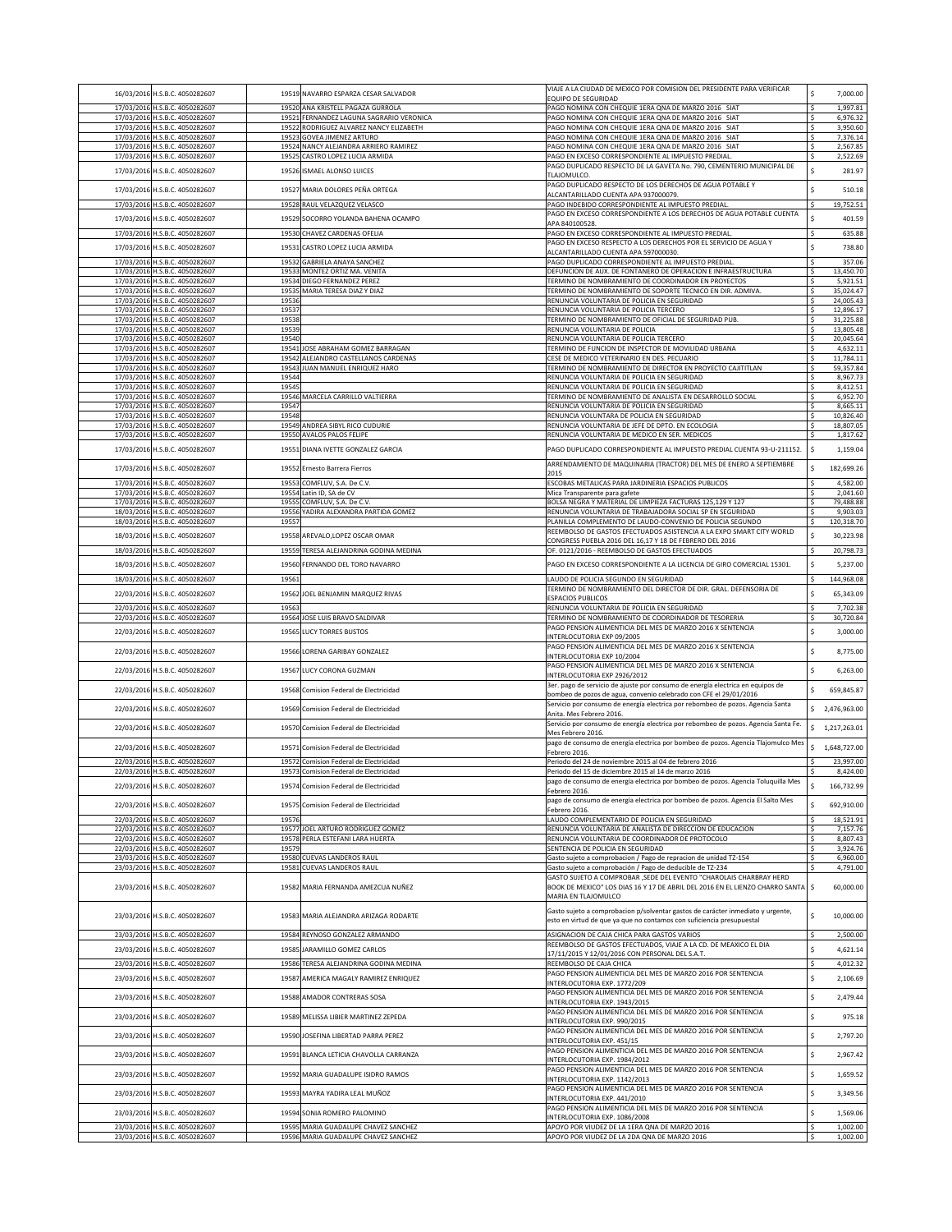|                          | 16/03/2016 H.S.B.C. 4050282607                                   |                | 19519 NAVARRO ESPARZA CESAR SALVADOR                              | VIAJE A LA CIUDAD DE MEXICO POR COMISION DEL PRESIDENTE PARA VERIFICAR<br>EQUIPO DE SEGURIDAD                                                            | Ś            | 7,000.00               |
|--------------------------|------------------------------------------------------------------|----------------|-------------------------------------------------------------------|----------------------------------------------------------------------------------------------------------------------------------------------------------|--------------|------------------------|
|                          | 17/03/2016 H.S.B.C. 4050282607<br>17/03/2016 H.S.B.C. 4050282607 | 19520<br>19521 | ANA KRISTELL PAGAZA GURROLA<br>FERNANDEZ LAGUNA SAGRARIO VERONICA | PAGO NOMINA CON CHEQUIE 1ERA QNA DE MARZO 2016 SIAT<br>PAGO NOMINA CON CHEQUIE 1ERA QNA DE MARZO 2016 SIAT                                               |              | 1,997.81<br>6,976.32   |
|                          | 17/03/2016 H.S.B.C. 4050282607                                   |                | 19522 RODRIGUEZ ALVAREZ NANCY ELIZABETH                           | PAGO NOMINA CON CHEQUIE 1ERA QNA DE MARZO 2016 SIAT                                                                                                      |              | 3,950.60               |
|                          | 17/03/2016 H.S.B.C. 4050282607                                   | 1952           | <b>GOVEA JIMENEZ ARTURO</b>                                       | PAGO NOMINA CON CHEQUIE 1ERA QNA DE MARZO 2016 SIAT                                                                                                      |              | 7,376.14               |
|                          | 17/03/2016 H.S.B.C. 4050282607<br>17/03/2016 H.S.B.C. 4050282607 | 19524<br>19525 | NANCY ALEJANDRA ARRIERO RAMIREZ<br>CASTRO LOPEZ LUCIA ARMIDA      | AGO NOMINA CON CHEQUIE 1ERA QNA DE MARZO 2016 SIAT<br>PAGO EN EXCESO CORRESPONDIENTE AL IMPUESTO PREDIAL.                                                | Ś            | 2,567.85<br>2,522.69   |
| 17/03/2016               | H.S.B.C. 4050282607                                              | 19526          | <b>ISMAEL ALONSO LUICES</b>                                       | PAGO DUPLICADO RESPECTO DE LA GAVETA No. 790, CEMENTERIO MUNICIPAL DE                                                                                    | Ś            | 281.97                 |
|                          |                                                                  |                |                                                                   | <b>TLAJOMULCO.</b>                                                                                                                                       |              |                        |
| 17/03/2016               | H.S.B.C. 4050282607                                              | 19527          | MARIA DOLORES PEÑA ORTEGA                                         | PAGO DUPLICADO RESPECTO DE LOS DERECHOS DE AGUA POTABLE Y<br>LCANTARILLADO CUENTA APA 937000079.                                                         | Ś            | 510.18                 |
| 17/03/2016               | H.S.B.C. 4050282607                                              | 19528          | RAUL VELAZQUEZ VELASCO                                            | AGO INDEBIDO CORRESPONDIENTE AL IMPUESTO PREDIAL<br>PAGO EN EXCESO CORRESPONDIENTE A LOS DERECHOS DE AGUA POTABLE CUENTA                                 |              | 19,752.51              |
| 17/03/2016               | H.S.B.C. 4050282607                                              | 19529          | SOCORRO YOLANDA BAHENA OCAMPO                                     | APA 840100528                                                                                                                                            |              | 401.59                 |
|                          | 17/03/2016 H.S.B.C. 4050282607                                   | 19530          | CHAVEZ CARDENAS OFELIA                                            | PAGO EN EXCESO CORRESPONDIENTE AL IMPUESTO PREDIAL                                                                                                       |              | 635.88                 |
| 17/03/2016               | H.S.B.C. 4050282607                                              | 19531          | CASTRO LOPEZ LUCIA ARMIDA                                         | PAGO EN EXCESO RESPECTO A LOS DERECHOS POR EL SERVICIO DE AGUA Y<br>ALCANTARILLADO CUENTA APA 597000030.                                                 |              | 738.80                 |
|                          | 17/03/2016 H.S.B.C. 4050282607                                   | 19532          | <b>GABRIELA ANAYA SANCHEZ</b>                                     | PAGO DUPLICADO CORRESPONDIENTE AL IMPUESTO PREDIAL                                                                                                       |              | 357.06                 |
|                          | 17/03/2016 H.S.B.C. 4050282607<br>17/03/2016 H.S.B.C. 4050282607 | 19533          | MONTEZ ORTIZ MA. VENITA<br>19534 DIEGO FERNANDEZ PEREZ            | DEFUNCION DE AUX. DE FONTANERO DE OPERACION E INFRAESTRUCTURA<br>FERMINO DE NOMBRAMIENTO DE COORDINADOR EN PROYECTOS                                     |              | 13,450.70<br>5,921.51  |
|                          | 17/03/2016 H.S.B.C. 4050282607                                   |                | 19535 MARIA TERESA DIAZ Y DIAZ                                    | FERMINO DE NOMBRAMIENTO DE SOPORTE TECNICO EN DIR. ADMIVA.                                                                                               |              | 35,024.47              |
|                          | 17/03/2016 H.S.B.C. 4050282607                                   | 19536<br>19537 |                                                                   | ENUNCIA VOLUNTARIA DE POLICIA EN SEGURIDAD                                                                                                               | Ś            | 24,005.43<br>12,896.17 |
|                          | 17/03/2016 H.S.B.C. 4050282607<br>17/03/2016 H.S.B.C. 4050282607 | 19538          |                                                                   | RENUNCIA VOLUNTARIA DE POLICIA TERCERO<br>TERMINO DE NOMBRAMIENTO DE OFICIAL DE SEGURIDAD PUB                                                            |              | 31,225.88              |
|                          | 17/03/2016 H.S.B.C. 4050282607                                   | 19539          |                                                                   | RENUNCIA VOLUNTARIA DE POLICIA                                                                                                                           |              | 13,805.48              |
| 17/03/2016               | 17/03/2016 H.S.B.C. 4050282607<br>H.S.B.C. 4050282607            | 1954<br>19541  | <b>IOSE ABRAHAM GOMEZ BARRAGAN</b>                                | RENUNCIA VOLUNTARIA DE POLICIA TERCERO<br>FERMINO DE FUNCION DE INSPECTOR DE MOVILIDAD URBANA                                                            |              | 20,045.64<br>4,632.11  |
|                          | 17/03/2016 H.S.B.C. 4050282607                                   | 19542          | LEJANDRO CASTELLANOS CARDENAS                                     | ESE DE MEDICO VETERINARIO EN DES. PECUARIO                                                                                                               |              | 11,784.11              |
|                          | 17/03/2016 H.S.B.C. 4050282607                                   | 19543<br>1954  | JUAN MANUEL ENRIQUEZ HARO                                         | ERMINO DE NOMBRAMIENTO DE DIRECTOR EN PROYECTO CAJITITLAN                                                                                                |              | 59,357.84              |
|                          | 17/03/2016 H.S.B.C. 4050282607<br>17/03/2016 H.S.B.C. 4050282607 | 1954           |                                                                   | RENUNCIA VOLUNTARIA DE POLICIA EN SEGURIDAD<br>RENUNCIA VOLUNTARIA DE POLICIA EN SEGURIDAD                                                               |              | 8,967.73<br>8,412.51   |
|                          | 17/03/2016 H.S.B.C. 4050282607                                   | 19546          | MARCELA CARRILLO VALTIERRA                                        | FERMINO DE NOMBRAMIENTO DE ANALISTA EN DESARROLLO SOCIAL                                                                                                 | s            | 6,952.70               |
|                          | 17/03/2016 H.S.B.C. 4050282607<br>17/03/2016 H.S.B.C. 4050282607 | 19547<br>19548 |                                                                   | RENUNCIA VOLUNTARIA DE POLICIA EN SEGURIDAD<br>RENUNCIA VOLUNTARA DE POLICIA EN SEGURIDAD                                                                | S            | 8,665.11<br>10,826.40  |
| 17/03/2016               | H.S.B.C. 4050282607                                              | 19549          | ANDREA SIBYL RICO CUDURIE                                         | RENUNCIA VOLUNTARIA DE JEFE DE DPTO. EN ECOLOGIA                                                                                                         |              | 18,807.05              |
| 17/03/2016               | H.S.B.C. 4050282607                                              | 19550          | AVALOS PALOS FELIPE                                               | RENUNCIA VOLUNTARIA DE MEDICO EN SER. MEDICOS                                                                                                            |              | 1,817.62               |
|                          | 17/03/2016 H.S.B.C. 4050282607                                   |                | 19551 DIANA IVETTE GONZALEZ GARCIA                                | PAGO DUPLICADO CORRESPONDIENTE AL IMPUESTO PREDIAL CUENTA 93-U-211152.                                                                                   | \$           | 1,159.04               |
|                          | 17/03/2016 H.S.B.C. 4050282607                                   |                | 19552 Ernesto Barrera Fierros                                     | ARRENDAMIENTO DE MAQUINARIA (TRACTOR) DEL MES DE ENERO A SEPTIEMBRE<br>2015                                                                              | \$           | 182,699.26             |
| 17/03/2016               | H.S.B.C. 4050282607                                              | 19553          | COMFLUV, S.A. De C.V.                                             | ESCOBAS METALICAS PARA JARDINERIA ESPACIOS PUBLICOS                                                                                                      |              | 4,582.00               |
| 17/03/2016<br>17/03/2016 | H.S.B.C. 4050282607<br>H.S.B.C. 4050282607                       | 19554<br>1955  | Latin ID, SA de CV<br>COMFLUV, S.A. De C.V.                       | Mica Transparente para gafete<br>OLSA NEGRA Y MATERIAL DE LIMPIEZA FACTURAS 125,129 Y 127                                                                |              | 2,041.60<br>79,488.88  |
| 18/03/2016               | H.S.B.C. 4050282607                                              | 1955           | ADIRA ALEXANDRA PARTIDA GOMEZ                                     | ENUNCIA VOLUNTARIA DE TRABAJADORA SOCIAL SP EN SEGURIDAD                                                                                                 |              | 9,903.03               |
| 18/03/2016               | H.S.B.C. 4050282607                                              | 19557          |                                                                   | LANILLA COMPLEMENTO DE LAUDO-CONVENIO DE POLICIA SEGUNDO<br>REEMBOLSO DE GASTOS EFECTUADOS ASISTENCIA A LA EXPO SMART CITY WORLD                         | Ś            | 120,318.70             |
| 18/03/2016               | H.S.B.C. 4050282607                                              | 19558          | AREVALO, LOPEZ OSCAR OMAR                                         | CONGRESS PUEBLA 2016 DEL 16,17 Y 18 DE FEBRERO DEL 2016                                                                                                  | Ś            | 30,223.98              |
|                          | 18/03/2016 H.S.B.C. 4050282607                                   | 19559          | TERESA ALEJANDRINA GODINA MEDINA                                  | OF. 0121/2016 - REEMBOLSO DE GASTOS EFECTUADOS                                                                                                           | s            | 20,798.73              |
| 18/03/2016               | H.S.B.C. 4050282607                                              | 19560          | FERNANDO DEL TORO NAVARRO                                         | PAGO EN EXCESO CORRESPONDIENTE A LA LICENCIA DE GIRO COMERCIAL 15301.                                                                                    | Ś            | 5,237.00               |
|                          | 18/03/2016 H.S.B.C. 4050282607                                   | 1956:          |                                                                   | LAUDO DE POLICIA SEGUNDO EN SEGURIDAD                                                                                                                    |              | 144,968.08             |
|                          | 22/03/2016 H.S.B.C. 4050282607                                   |                | 19562 JOEL BENJAMIN MARQUEZ RIVAS                                 | FERMINO DE NOMBRAMIENTO DEL DIRECTOR DE DIR. GRAL. DEFENSORIA DE<br><b>SPACIOS PUBLICOS</b>                                                              | Ś            | 65,343.09              |
| 22/03/2016               | H.S.B.C. 4050282607                                              | 1956           |                                                                   | RENUNCIA VOLUNTARIA DE POLICIA EN SEGURIDAD                                                                                                              |              | 7,702.38               |
|                          | 22/03/2016 H.S.B.C. 4050282607                                   | 19564          | JOSE LUIS BRAVO SALDIVAR                                          | ERMINO DE NOMBRAMIENTO DE COORDINADOR DE TESORERIA<br>PAGO PENSION ALIMENTICIA DEL MES DE MARZO 2016 X SENTENCIA                                         | $\mathsf{s}$ | 30,720.84              |
|                          | 22/03/2016 H.S.B.C. 4050282607                                   |                | 19565 LUCY TORRES BUSTOS                                          | NTERLOCUTORIA EXP 09/2005<br>PAGO PENSION ALIMENTICIA DEL MES DE MARZO 2016 X SENTENCIA                                                                  |              | 3,000.00               |
| 22/03/2016               | H.S.B.C. 4050282607                                              | 19566          | LORENA GARIBAY GONZALEZ                                           | NTERLOCUTORIA EXP 10/2004                                                                                                                                | Ś            | 8,775.00               |
| 22/03/2016               | H.S.B.C. 4050282607                                              | 19567          | LUCY CORONA GUZMAN                                                | PAGO PENSION ALIMENTICIA DEL MES DE MARZO 2016 X SENTENCIA<br>NTERLOCUTORIA EXP 2926/2012                                                                | Ś            | 6,263.00               |
| 22/03/2016               | H.S.B.C. 4050282607                                              | 19568          | Comision Federal de Electricidad                                  | Ber. pago de servicio de ajuste por consumo de energía electrica en equipos de<br>pombeo de pozos de agua, convenio celebrado con CFE el 29/01/2016      | Ś            | 659,845.87             |
| 22/03/2016               | H.S.B.C. 4050282607                                              | 19569          | Comision Federal de Electricidad                                  | Servicio por consumo de energía electrica por rebombeo de pozos. Agencia Santa<br>Anita. Mes Febrero 2016.                                               | \$           | 2,476,963.00           |
| 22/03/2016               | H.S.B.C. 4050282607                                              | 19570          | Comision Federal de Electricidad                                  | Servicio por consumo de energía electrica por rebombeo de pozos. Agencia Santa Fe<br>Mes Febrero 2016.                                                   | \$           | 1,217,263.01           |
|                          | 22/03/2016 H.S.B.C. 4050282607                                   | 19571          | Comision Federal de Electricidad                                  | pago de consumo de energía electrica por bombeo de pozos. Agencia Tlajomulco Mes                                                                         | \$           | 1,648,727.00           |
|                          | 22/03/2016 H.S.B.C. 4050282607                                   |                | 19572 Comision Federal de Electricidad                            | Febrero 2016<br>Periodo del 24 de noviembre 2015 al 04 de febrero 2016                                                                                   |              | 23,997.00              |
|                          | 22/03/2016 H.S.B.C. 4050282607                                   | 19573          | Comision Federal de Electricidad                                  | Periodo del 15 de diciembre 2015 al 14 de marzo 2016                                                                                                     | s            | 8,424.00               |
|                          | 22/03/2016 H.S.B.C. 4050282607                                   |                | 19574 Comision Federal de Electricidad                            | ago de consumo de energía electrica por bombeo de pozos. Agencia Toluquilla Mes<br>Febrero 2016.                                                         |              | 166,732.99             |
|                          | 22/03/2016 H.S.B.C. 4050282607                                   | 19575          | Comision Federal de Electricidad                                  | pago de consumo de energía electrica por bombeo de pozos. Agencia El Salto Mes<br>Febrero 2016.                                                          | \$           | 692,910.00             |
|                          | 22/03/2016 H.S.B.C. 4050282607                                   | 19576          |                                                                   | AUDO COMPLEMENTARIO DE POLICIA EN SEGURIDAD                                                                                                              |              | 18,521.91              |
|                          | 22/03/2016 H.S.B.C. 4050282607<br>22/03/2016 H.S.B.C. 4050282607 | 19577<br>19578 | JOEL ARTURO RODRIGUEZ GOMEZ<br>PERLA ESTEFANI LARA HUERTA         | RENUNCIA VOLUNTARIA DE ANALISTA DE DIRECCION DE EDUCACION<br>ENUNCIA VOLUNTARIA DE COORDINADOR DE PROTOCOLO                                              |              | 7,157.76<br>8,807.43   |
|                          | 22/03/2016 H.S.B.C. 4050282607                                   | 19579          |                                                                   | <b>SENTENCIA DE POLICIA EN SEGURIDAD</b>                                                                                                                 |              | 3,924.76               |
|                          | 23/03/2016 H.S.B.C. 4050282607                                   | 19580<br>19581 | <b>CUEVAS LANDEROS RAUL</b><br>CUEVAS LANDEROS RAUL               | Gasto sujeto a comprobacion / Pago de repracion de unidad TZ-154<br>Gasto sujeto a comprobación / Pago de deducible de TZ-234                            | s            | 6,960.00<br>4,791.00   |
|                          | 23/03/2016 H.S.B.C. 4050282607                                   |                |                                                                   | GASTO SUJETO A COMPROBAR , SEDE DEL EVENTO "CHAROLAIS CHARBRAY HERD                                                                                      |              |                        |
|                          | 23/03/2016 H.S.B.C. 4050282607                                   |                | 19582 MARIA FERNANDA AMEZCUA NUÑEZ                                | BOOK DE MEXICO" LOS DIAS 16 Y 17 DE ABRIL DEL 2016 EN EL LIENZO CHARRO SANTA \$<br>MARIA EN TLAJOMULCO                                                   |              | 60,000.00              |
|                          | 23/03/2016 H.S.B.C. 4050282607                                   |                | 19583 MARIA ALEJANDRA ARIZAGA RODARTE                             | Gasto sujeto a comprobacion p/solventar gastos de carácter inmediato y urgente,<br>esto en virtud de que ya que no contamos con suficiencia presupuestal | \$           | 10,000.00              |
|                          | 23/03/2016 H.S.B.C. 4050282607                                   |                | 19584 REYNOSO GONZALEZ ARMANDO                                    | ASIGNACION DE CAJA CHICA PARA GASTOS VARIOS                                                                                                              | .s           | 2,500.00               |
|                          | 23/03/2016 H.S.B.C. 4050282607                                   |                | 19585 JARAMILLO GOMEZ CARLOS                                      | REEMBOLSO DE GASTOS EFECTUADOS, VIAJE A LA CD. DE MEAXICO EL DIA<br>17/11/2015 Y 12/01/2016 CON PERSONAL DEL S.A.T.                                      | Ś            | 4,621.14               |
| 23/03/2016               | H.S.B.C. 4050282607                                              |                | 19586 TERESA ALEJANDRINA GODINA MEDINA                            | REEMBOLSO DE CAJA CHICA<br>PAGO PENSION ALIMENTICIA DEL MES DE MARZO 2016 POR SENTENCIA                                                                  | Ś            | 4,012.32               |
| 23/03/2016               | H.S.B.C. 4050282607                                              | 19587          | AMERICA MAGALY RAMIREZ ENRIQUEZ                                   | NTERLOCUTORIA EXP. 1772/209<br>PAGO PENSION ALIMENTICIA DEL MES DE MARZO 2016 POR SENTENCIA                                                              | Ś            | 2,106.69               |
|                          | 23/03/2016 H.S.B.C. 4050282607                                   |                | 19588 AMADOR CONTRERAS SOSA                                       | NTERLOCUTORIA EXP. 1943/2015<br>PAGO PENSION ALIMENTICIA DEL MES DE MARZO 2016 POR SENTENCIA                                                             | Ś            | 2,479.44               |
|                          | 23/03/2016 H.S.B.C. 4050282607                                   |                | 19589 MELISSA LIBIER MARTINEZ ZEPEDA                              | INTERLOCUTORIA EXP. 990/2015                                                                                                                             | Ś            | 975.18                 |
|                          | 23/03/2016 H.S.B.C. 4050282607                                   |                | 19590 JOSEFINA LIBERTAD PARRA PEREZ                               | PAGO PENSION ALIMENTICIA DEL MES DE MARZO 2016 POR SENTENCIA<br>INTERLOCUTORIA EXP. 451/15                                                               | \$           | 2,797.20               |
|                          | 23/03/2016 H.S.B.C. 4050282607                                   |                | 19591 BLANCA LETICIA CHAVOLLA CARRANZA                            | PAGO PENSION ALIMENTICIA DEL MES DE MARZO 2016 POR SENTENCIA<br>INTERLOCUTORIA EXP. 1984/2012                                                            | \$           | 2,967.42               |
|                          | 23/03/2016 H.S.B.C. 4050282607                                   |                | 19592 MARIA GUADALUPE ISIDRO RAMOS                                | PAGO PENSION ALIMENTICIA DEL MES DE MARZO 2016 POR SENTENCIA<br>NTERLOCUTORIA EXP. 1142/2013                                                             | \$           | 1,659.52               |
|                          | 23/03/2016 H.S.B.C. 4050282607                                   |                | 19593 MAYRA YADIRA LEAL MUÑOZ                                     | PAGO PENSION ALIMENTICIA DEL MES DE MARZO 2016 POR SENTENCIA<br>INTERLOCUTORIA EXP. 441/2010                                                             | \$           | 3,349.56               |
|                          | 23/03/2016 H.S.B.C. 4050282607                                   |                | 19594 SONIA ROMERO PALOMINO                                       | PAGO PENSION ALIMENTICIA DEL MES DE MARZO 2016 POR SENTENCIA<br>INTERLOCUTORIA EXP. 1086/2008                                                            | \$           | 1,569.06               |
|                          | 23/03/2016 H.S.B.C. 4050282607                                   | 19595          | MARIA GUADALUPE CHAVEZ SANCHEZ                                    | APOYO POR VIUDEZ DE LA 1ERA QNA DE MARZO 2016                                                                                                            |              | 1,002.00               |
|                          | 23/03/2016 H.S.B.C. 4050282607                                   |                | 19596 MARIA GUADALUPE CHAVEZ SANCHEZ                              | APOYO POR VIUDEZ DE LA 2DA QNA DE MARZO 2016                                                                                                             |              | 1,002.00               |